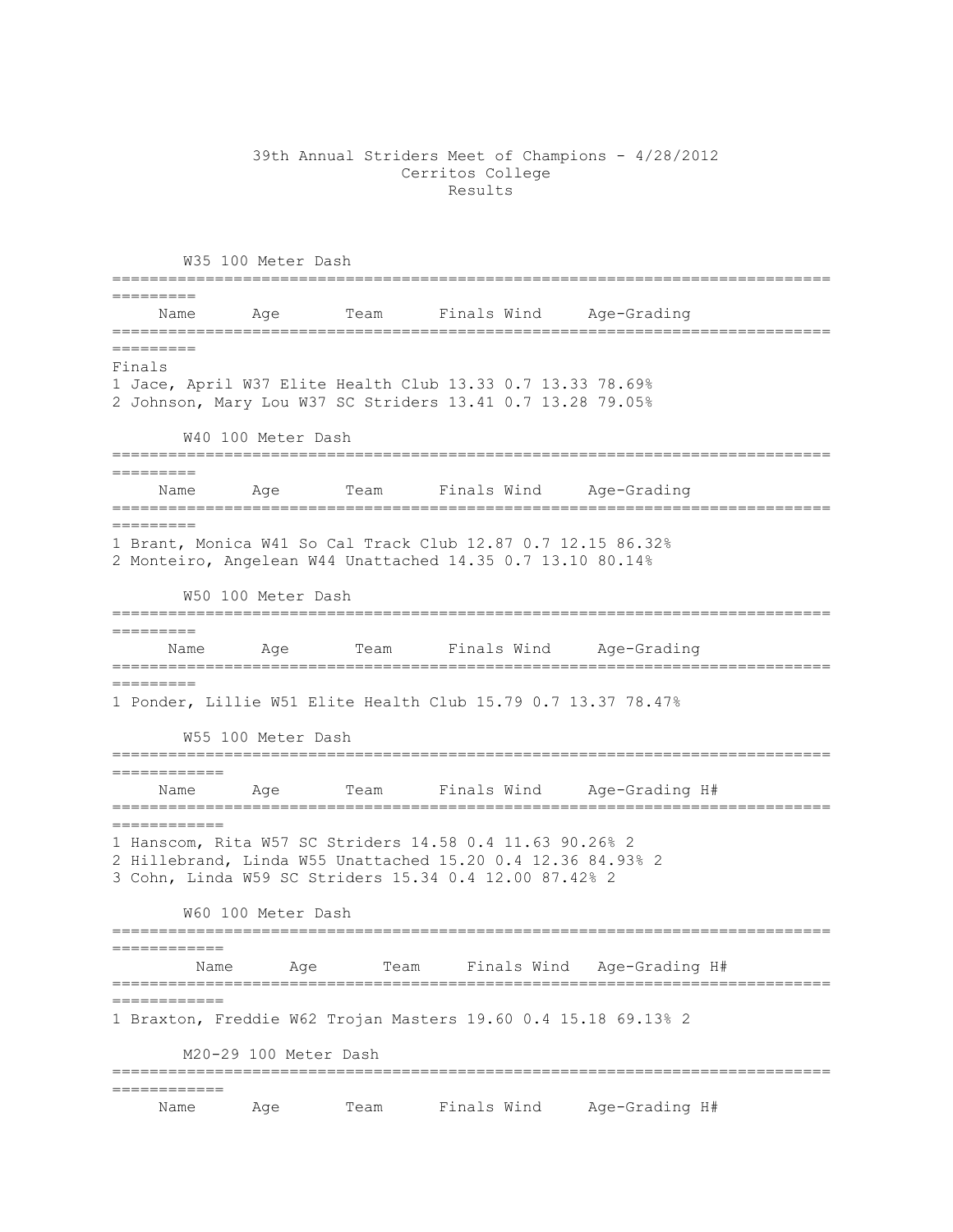## 39th Annual Striders Meet of Champions - 4/28/2012 Cerritos College Results

W35 100 Meter Dash ============================================================================= ========= Name Age Team Finals Wind Age-Grading ============================================================================= ========= Finals 1 Jace, April W37 Elite Health Club 13.33 0.7 13.33 78.69% 2 Johnson, Mary Lou W37 SC Striders 13.41 0.7 13.28 79.05% W40 100 Meter Dash ============================================================================= ========= Name Age Team Finals Wind Age-Grading ============================================================================= ========= 1 Brant, Monica W41 So Cal Track Club 12.87 0.7 12.15 86.32% 2 Monteiro, Angelean W44 Unattached 14.35 0.7 13.10 80.14% W50 100 Meter Dash ============================================================================= ========= Name Age Team Finals Wind Age-Grading ============================================================================= ========= 1 Ponder, Lillie W51 Elite Health Club 15.79 0.7 13.37 78.47% W55 100 Meter Dash ============================================================================= ============ Name Age Team Finals Wind Age-Grading H# ============================================================================= ============ 1 Hanscom, Rita W57 SC Striders 14.58 0.4 11.63 90.26% 2 2 Hillebrand, Linda W55 Unattached 15.20 0.4 12.36 84.93% 2 3 Cohn, Linda W59 SC Striders 15.34 0.4 12.00 87.42% 2 W60 100 Meter Dash ============================================================================= ============ Name Age Team Finals Wind Age-Grading H# ============================================================================= ============ 1 Braxton, Freddie W62 Trojan Masters 19.60 0.4 15.18 69.13% 2 M20-29 100 Meter Dash ============================================================================= ============ Name Age Team Finals Wind Age-Grading H#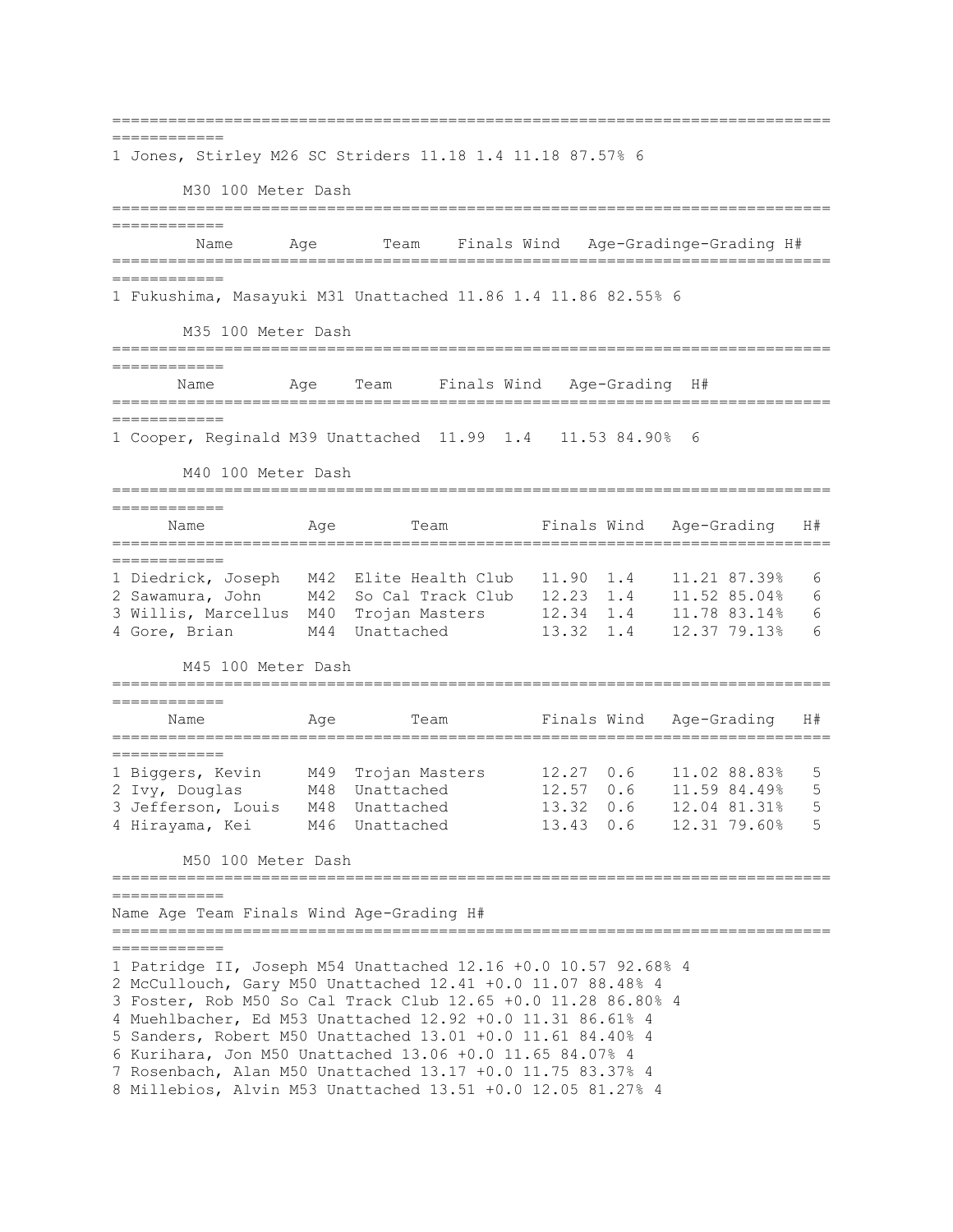============================================================================= ============ 1 Jones, Stirley M26 SC Striders 11.18 1.4 11.18 87.57% 6 M30 100 Meter Dash ============================================================================= ============ Name Age Team Finals Wind Age-Gradinge-Grading H# ============================================================================= ============ 1 Fukushima, Masayuki M31 Unattached 11.86 1.4 11.86 82.55% 6 M35 100 Meter Dash ============================================================================= ============ Name Mage Team Finals Wind Age-Grading H# ============================================================================= ============ 1 Cooper, Reginald M39 Unattached 11.99 1.4 11.53 84.90% 6 M40 100 Meter Dash ============================================================================= ============ Name Mage Team Finals Wind Age-Grading H# ============================================================================= ============ 1 Diedrick, Joseph M42 Elite Health Club 11.90 1.4 11.21 87.39% 6 2 Sawamura, John M42 So Cal Track Club 12.23 1.4 11.52 85.04% 6 3 Willis, Marcellus M40 Trojan Masters 12.34 1.4 11.78 83.14% 6 4 Gore, Brian M44 Unattached 13.32 1.4 12.37 79.13% 6 M45 100 Meter Dash ============================================================================= ============ Name Mage Team Finals Wind Age-Grading H# ============================================================================= ============ 1 Biggers, Kevin M49 Trojan Masters 12.27 0.6 11.02 88.83% 5 2 Ivy, Douglas M48 Unattached 12.57 0.6 11.59 84.49% 5 3 Jefferson, Louis M48 Unattached 13.32 0.6 12.04 81.31% 5 4 Hirayama, Kei M46 Unattached 13.43 0.6 12.31 79.60% 5 M50 100 Meter Dash ============================================================================= ============ Name Age Team Finals Wind Age-Grading H# ============================================================================= ============ 1 Patridge II, Joseph M54 Unattached 12.16 +0.0 10.57 92.68% 4 2 McCullouch, Gary M50 Unattached 12.41 +0.0 11.07 88.48% 4 3 Foster, Rob M50 So Cal Track Club 12.65 +0.0 11.28 86.80% 4 4 Muehlbacher, Ed M53 Unattached 12.92 +0.0 11.31 86.61% 4 5 Sanders, Robert M50 Unattached 13.01 +0.0 11.61 84.40% 4 6 Kurihara, Jon M50 Unattached 13.06 +0.0 11.65 84.07% 4 7 Rosenbach, Alan M50 Unattached 13.17 +0.0 11.75 83.37% 4 8 Millebios, Alvin M53 Unattached 13.51 +0.0 12.05 81.27% 4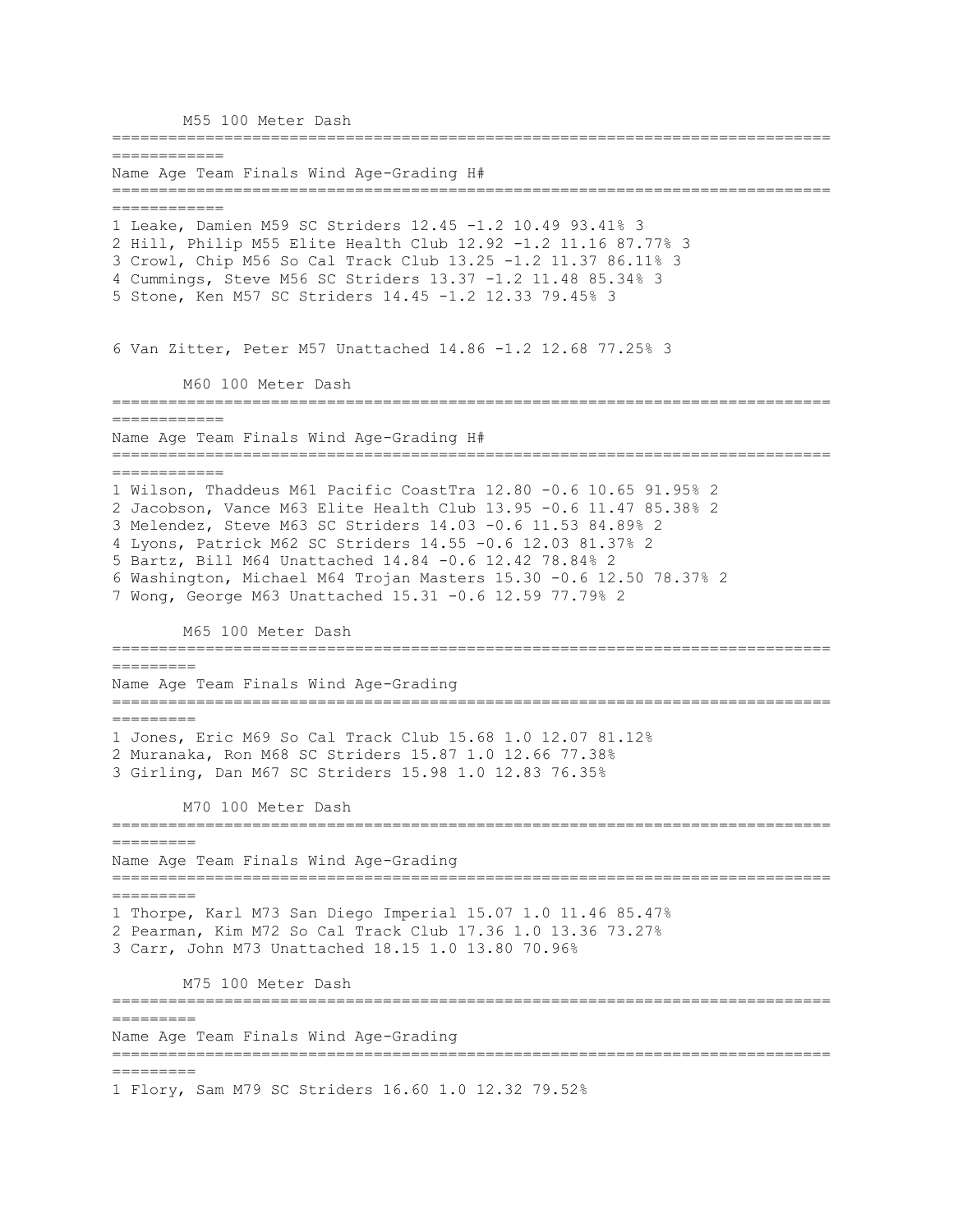M55 100 Meter Dash ============================================================================= ============ Name Age Team Finals Wind Age-Grading H# ============================================================================= ============ 1 Leake, Damien M59 SC Striders 12.45 -1.2 10.49 93.41% 3 2 Hill, Philip M55 Elite Health Club 12.92 -1.2 11.16 87.77% 3 3 Crowl, Chip M56 So Cal Track Club 13.25 -1.2 11.37 86.11% 3 4 Cummings, Steve M56 SC Striders 13.37 -1.2 11.48 85.34% 3 5 Stone, Ken M57 SC Striders 14.45 -1.2 12.33 79.45% 3 6 Van Zitter, Peter M57 Unattached 14.86 -1.2 12.68 77.25% 3 M60 100 Meter Dash ============================================================================= ============ Name Age Team Finals Wind Age-Grading H# ============================================================================= ============ 1 Wilson, Thaddeus M61 Pacific CoastTra 12.80 -0.6 10.65 91.95% 2 2 Jacobson, Vance M63 Elite Health Club 13.95 -0.6 11.47 85.38% 2 3 Melendez, Steve M63 SC Striders 14.03 -0.6 11.53 84.89% 2 4 Lyons, Patrick M62 SC Striders 14.55 -0.6 12.03 81.37% 2 5 Bartz, Bill M64 Unattached 14.84 -0.6 12.42 78.84% 2 6 Washington, Michael M64 Trojan Masters 15.30 -0.6 12.50 78.37% 2 7 Wong, George M63 Unattached 15.31 -0.6 12.59 77.79% 2 M65 100 Meter Dash ============================================================================= ========= Name Age Team Finals Wind Age-Grading ============================================================================= ========= 1 Jones, Eric M69 So Cal Track Club 15.68 1.0 12.07 81.12% 2 Muranaka, Ron M68 SC Striders 15.87 1.0 12.66 77.38% 3 Girling, Dan M67 SC Striders 15.98 1.0 12.83 76.35% M70 100 Meter Dash ============================================================================= ========= Name Age Team Finals Wind Age-Grading ============================================================================= ========= 1 Thorpe, Karl M73 San Diego Imperial 15.07 1.0 11.46 85.47% 2 Pearman, Kim M72 So Cal Track Club 17.36 1.0 13.36 73.27% 3 Carr, John M73 Unattached 18.15 1.0 13.80 70.96% M75 100 Meter Dash ============================================================================= ========= Name Age Team Finals Wind Age-Grading ============================================================================= ========= 1 Flory, Sam M79 SC Striders 16.60 1.0 12.32 79.52%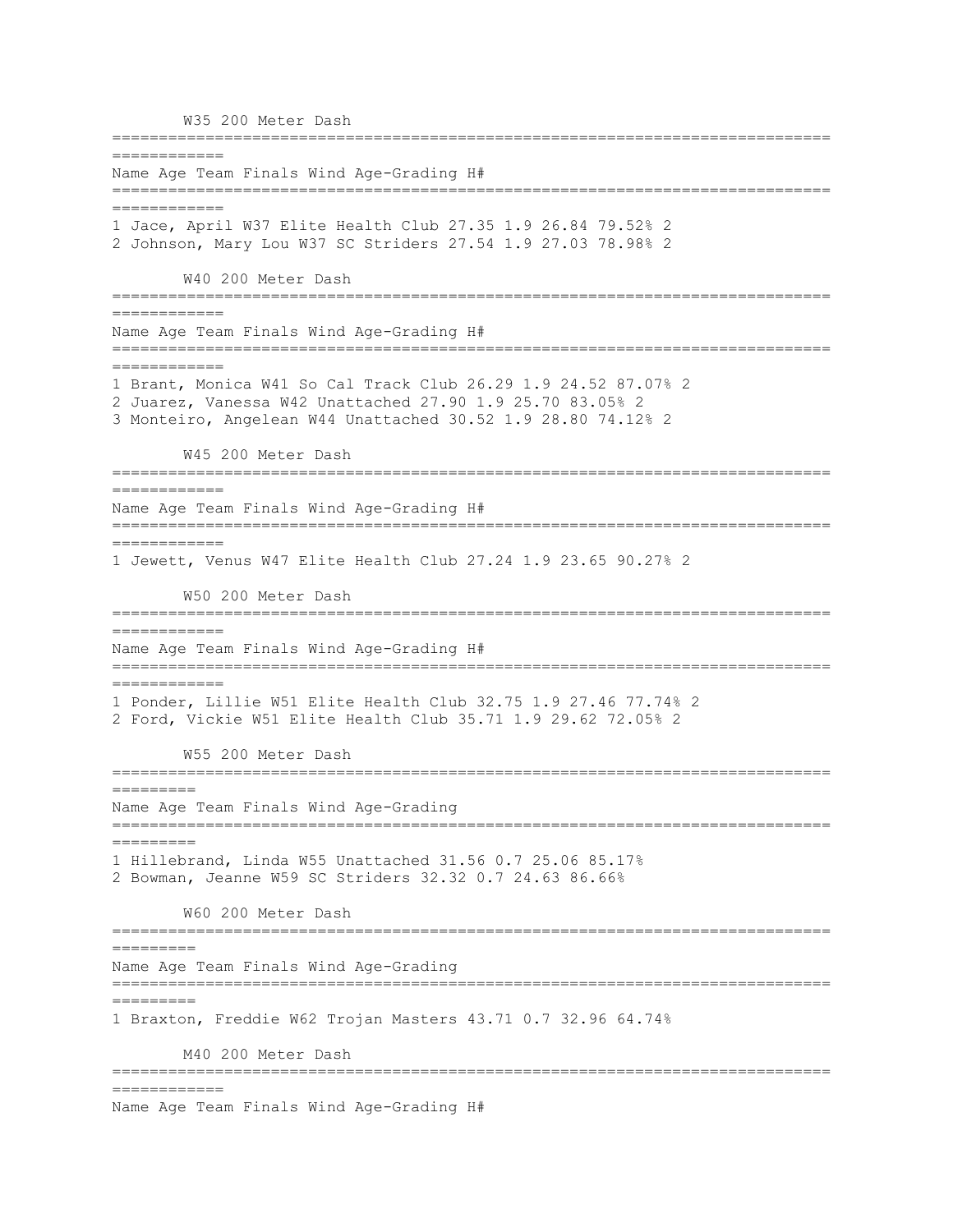W35 200 Meter Dash ============================================================================= ============ Name Age Team Finals Wind Age-Grading H# ============================================================================= ============ 1 Jace, April W37 Elite Health Club 27.35 1.9 26.84 79.52% 2 2 Johnson, Mary Lou W37 SC Striders 27.54 1.9 27.03 78.98% 2 W40 200 Meter Dash ============================================================================= ============ Name Age Team Finals Wind Age-Grading H# ============================================================================= ============ 1 Brant, Monica W41 So Cal Track Club 26.29 1.9 24.52 87.07% 2 2 Juarez, Vanessa W42 Unattached 27.90 1.9 25.70 83.05% 2 3 Monteiro, Angelean W44 Unattached 30.52 1.9 28.80 74.12% 2 W45 200 Meter Dash ============================================================================= ============ Name Age Team Finals Wind Age-Grading H# ============================================================================= ============ 1 Jewett, Venus W47 Elite Health Club 27.24 1.9 23.65 90.27% 2 W50 200 Meter Dash ============================================================================= ============ Name Age Team Finals Wind Age-Grading H# ============================================================================= ============ 1 Ponder, Lillie W51 Elite Health Club 32.75 1.9 27.46 77.74% 2 2 Ford, Vickie W51 Elite Health Club 35.71 1.9 29.62 72.05% 2 W55 200 Meter Dash ============================================================================= ========= Name Age Team Finals Wind Age-Grading ============================================================================= ========= 1 Hillebrand, Linda W55 Unattached 31.56 0.7 25.06 85.17% 2 Bowman, Jeanne W59 SC Striders 32.32 0.7 24.63 86.66% W60 200 Meter Dash ============================================================================= ========= Name Age Team Finals Wind Age-Grading ============================================================================= ========= 1 Braxton, Freddie W62 Trojan Masters 43.71 0.7 32.96 64.74% M40 200 Meter Dash ============================================================================= ============ Name Age Team Finals Wind Age-Grading H#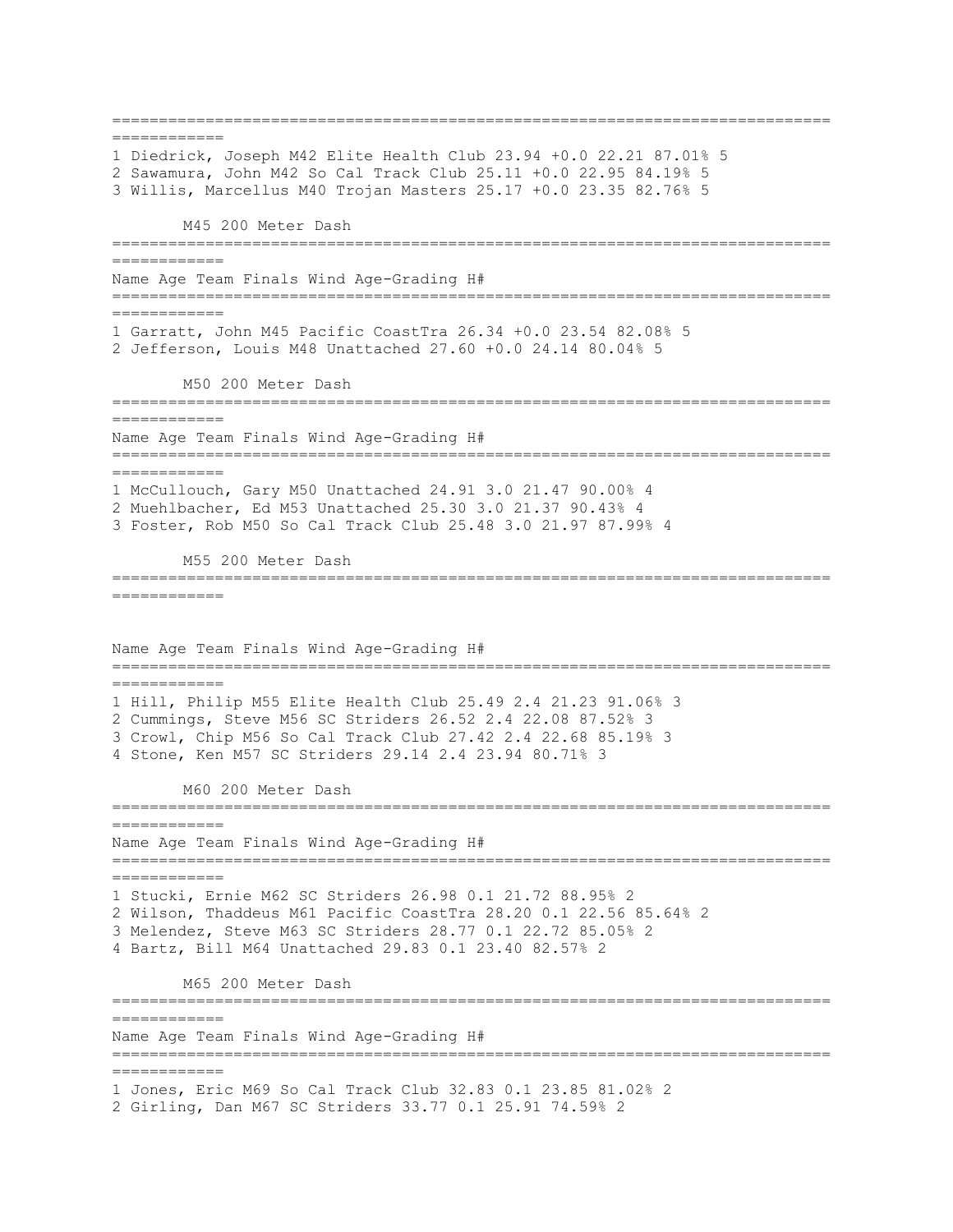============================================================================= ============ 1 Diedrick, Joseph M42 Elite Health Club 23.94 +0.0 22.21 87.01% 5 2 Sawamura, John M42 So Cal Track Club 25.11 +0.0 22.95 84.19% 5 3 Willis, Marcellus M40 Trojan Masters 25.17 +0.0 23.35 82.76% 5 M45 200 Meter Dash ============================================================================= ============ Name Age Team Finals Wind Age-Grading H# ============================================================================= ============ 1 Garratt, John M45 Pacific CoastTra 26.34 +0.0 23.54 82.08% 5 2 Jefferson, Louis M48 Unattached 27.60 +0.0 24.14 80.04% 5 M50 200 Meter Dash ============================================================================= ============ Name Age Team Finals Wind Age-Grading H# ============================================================================= ============ 1 McCullouch, Gary M50 Unattached 24.91 3.0 21.47 90.00% 4 2 Muehlbacher, Ed M53 Unattached 25.30 3.0 21.37 90.43% 4 3 Foster, Rob M50 So Cal Track Club 25.48 3.0 21.97 87.99% 4 M55 200 Meter Dash ============================================================================= ============ Name Age Team Finals Wind Age-Grading H# ============================================================================= ============ 1 Hill, Philip M55 Elite Health Club 25.49 2.4 21.23 91.06% 3 2 Cummings, Steve M56 SC Striders 26.52 2.4 22.08 87.52% 3 3 Crowl, Chip M56 So Cal Track Club 27.42 2.4 22.68 85.19% 3 4 Stone, Ken M57 SC Striders 29.14 2.4 23.94 80.71% 3 M60 200 Meter Dash ============================================================================= ============ Name Age Team Finals Wind Age-Grading H# ============================================================================= ============ 1 Stucki, Ernie M62 SC Striders 26.98 0.1 21.72 88.95% 2 2 Wilson, Thaddeus M61 Pacific CoastTra 28.20 0.1 22.56 85.64% 2 3 Melendez, Steve M63 SC Striders 28.77 0.1 22.72 85.05% 2 4 Bartz, Bill M64 Unattached 29.83 0.1 23.40 82.57% 2 M65 200 Meter Dash ============================================================================= ============ Name Age Team Finals Wind Age-Grading H# ============================================================================= ============ 1 Jones, Eric M69 So Cal Track Club 32.83 0.1 23.85 81.02% 2 2 Girling, Dan M67 SC Striders 33.77 0.1 25.91 74.59% 2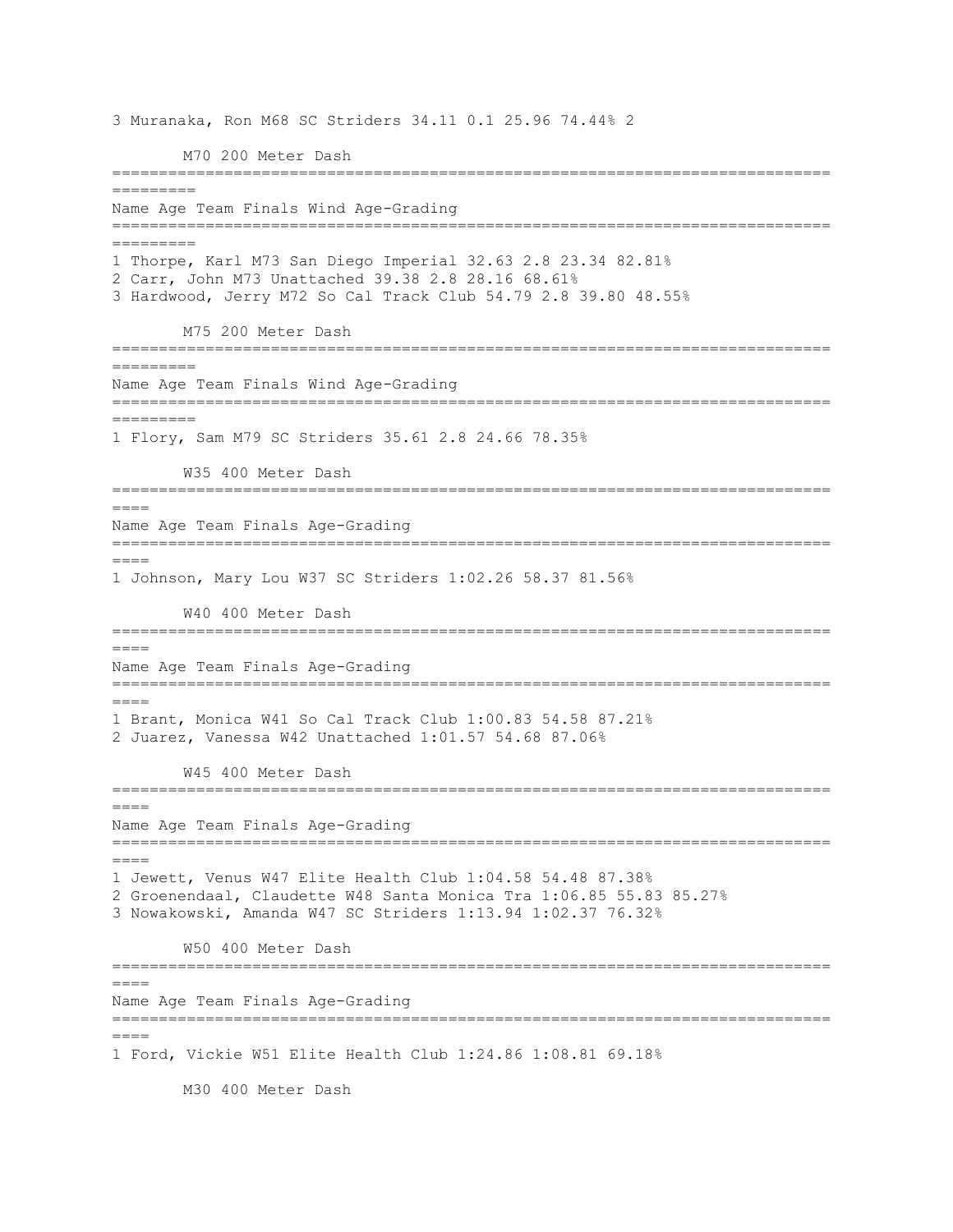3 Muranaka, Ron M68 SC Striders 34.11 0.1 25.96 74.44% 2 M70 200 Meter Dash ============================================================================= ========= Name Age Team Finals Wind Age-Grading ============================================================================= ========= 1 Thorpe, Karl M73 San Diego Imperial 32.63 2.8 23.34 82.81% 2 Carr, John M73 Unattached 39.38 2.8 28.16 68.61% 3 Hardwood, Jerry M72 So Cal Track Club 54.79 2.8 39.80 48.55% M75 200 Meter Dash ============================================================================= ========= Name Age Team Finals Wind Age-Grading ============================================================================= ========= 1 Flory, Sam M79 SC Striders 35.61 2.8 24.66 78.35% W35 400 Meter Dash =============================================================================  $=$ Name Age Team Finals Age-Grading =============================================================================  $====$ 1 Johnson, Mary Lou W37 SC Striders 1:02.26 58.37 81.56% W40 400 Meter Dash ============================================================================= ==== Name Age Team Finals Age-Grading =============================================================================  $====$ 1 Brant, Monica W41 So Cal Track Club 1:00.83 54.58 87.21% 2 Juarez, Vanessa W42 Unattached 1:01.57 54.68 87.06% W45 400 Meter Dash =============================================================================  $=$ Name Age Team Finals Age-Grading =============================================================================  $=$ 1 Jewett, Venus W47 Elite Health Club 1:04.58 54.48 87.38% 2 Groenendaal, Claudette W48 Santa Monica Tra 1:06.85 55.83 85.27% 3 Nowakowski, Amanda W47 SC Striders 1:13.94 1:02.37 76.32% W50 400 Meter Dash =============================================================================  $----$ Name Age Team Finals Age-Grading =============================================================================  $====$ 1 Ford, Vickie W51 Elite Health Club 1:24.86 1:08.81 69.18%

M30 400 Meter Dash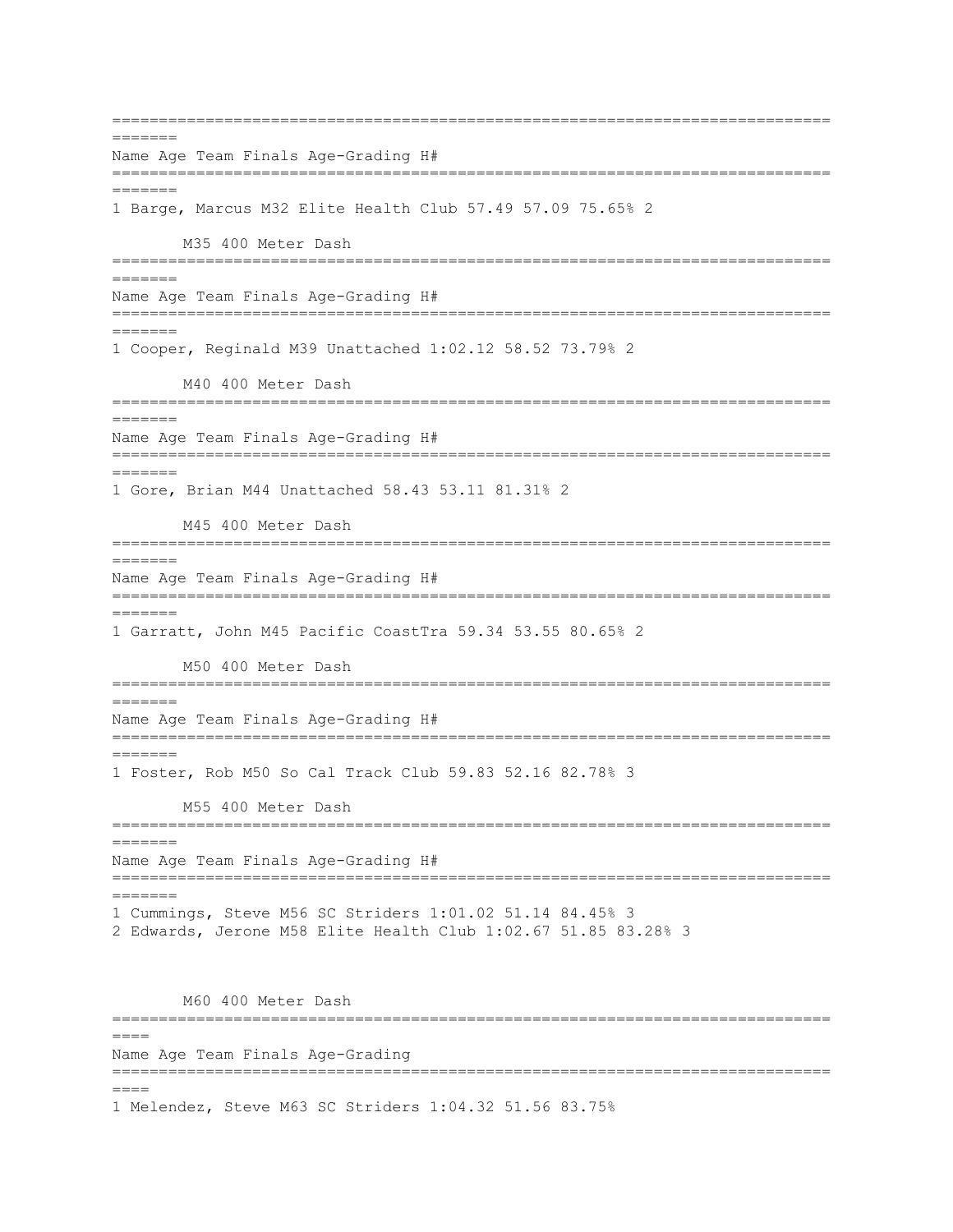=============================================================================  $=$ Name Age Team Finals Age-Grading H# ============================================================================= ======= 1 Barge, Marcus M32 Elite Health Club 57.49 57.09 75.65% 2 M35 400 Meter Dash ============================================================================= ======= Name Age Team Finals Age-Grading H# =============================================================================  $=$ 1 Cooper, Reginald M39 Unattached 1:02.12 58.52 73.79% 2 M40 400 Meter Dash ============================================================================= ======= Name Age Team Finals Age-Grading H# ============================================================================= ======= 1 Gore, Brian M44 Unattached 58.43 53.11 81.31% 2 M45 400 Meter Dash =============================================================================  $=$ Name Age Team Finals Age-Grading H# ============================================================================= ======= 1 Garratt, John M45 Pacific CoastTra 59.34 53.55 80.65% 2 M50 400 Meter Dash ============================================================================= ======= Name Age Team Finals Age-Grading H# ============================================================================= ======= 1 Foster, Rob M50 So Cal Track Club 59.83 52.16 82.78% 3 M55 400 Meter Dash ============================================================================= ======= Name Age Team Finals Age-Grading H# ============================================================================= ======= 1 Cummings, Steve M56 SC Striders 1:01.02 51.14 84.45% 3 2 Edwards, Jerone M58 Elite Health Club 1:02.67 51.85 83.28% 3 M60 400 Meter Dash =============================================================================  $====$ Name Age Team Finals Age-Grading =============================================================================  $=$  $=$  $=$  $=$ 1 Melendez, Steve M63 SC Striders 1:04.32 51.56 83.75%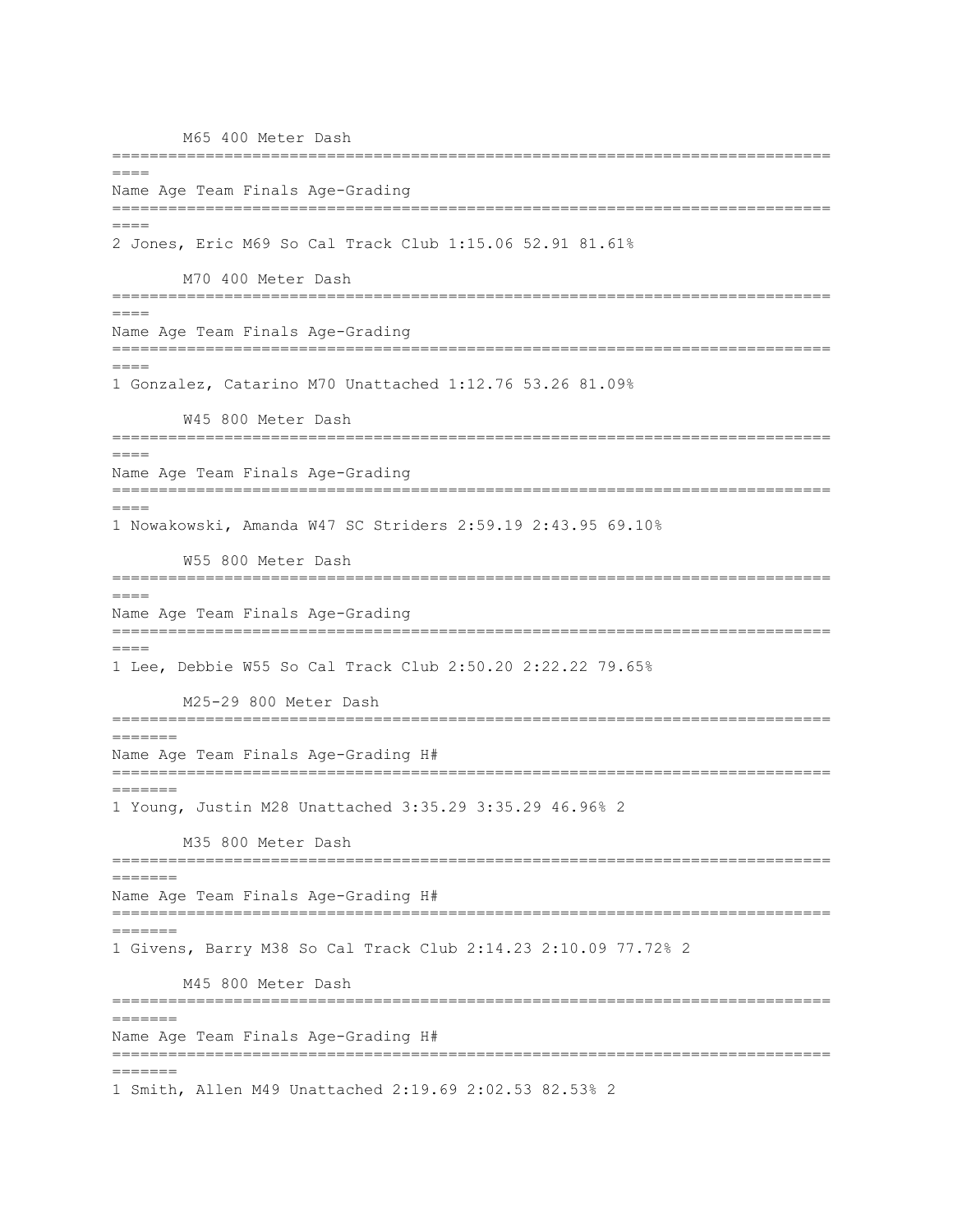M65 400 Meter Dash ============================================================================= ==== Name Age Team Finals Age-Grading ============================================================================= ==== 2 Jones, Eric M69 So Cal Track Club 1:15.06 52.91 81.61% M70 400 Meter Dash =============================================================================  $=$  $=$  $=$  $=$ Name Age Team Finals Age-Grading =============================================================================  $=$  $=$  $=$  $=$ 1 Gonzalez, Catarino M70 Unattached 1:12.76 53.26 81.09% W45 800 Meter Dash =============================================================================  $=$  $=$  $=$  $=$ Name Age Team Finals Age-Grading =============================================================================  $=$ 1 Nowakowski, Amanda W47 SC Striders 2:59.19 2:43.95 69.10% W55 800 Meter Dash =============================================================================  $=$ Name Age Team Finals Age-Grading ============================================================================= ==== 1 Lee, Debbie W55 So Cal Track Club 2:50.20 2:22.22 79.65% M25-29 800 Meter Dash =============================================================================  $=$ Name Age Team Finals Age-Grading H# ============================================================================= ======= 1 Young, Justin M28 Unattached 3:35.29 3:35.29 46.96% 2 M35 800 Meter Dash ============================================================================= ======= Name Age Team Finals Age-Grading H# ============================================================================= ======= 1 Givens, Barry M38 So Cal Track Club 2:14.23 2:10.09 77.72% 2 M45 800 Meter Dash ============================================================================= ======= Name Age Team Finals Age-Grading H# ============================================================================= ======= 1 Smith, Allen M49 Unattached 2:19.69 2:02.53 82.53% 2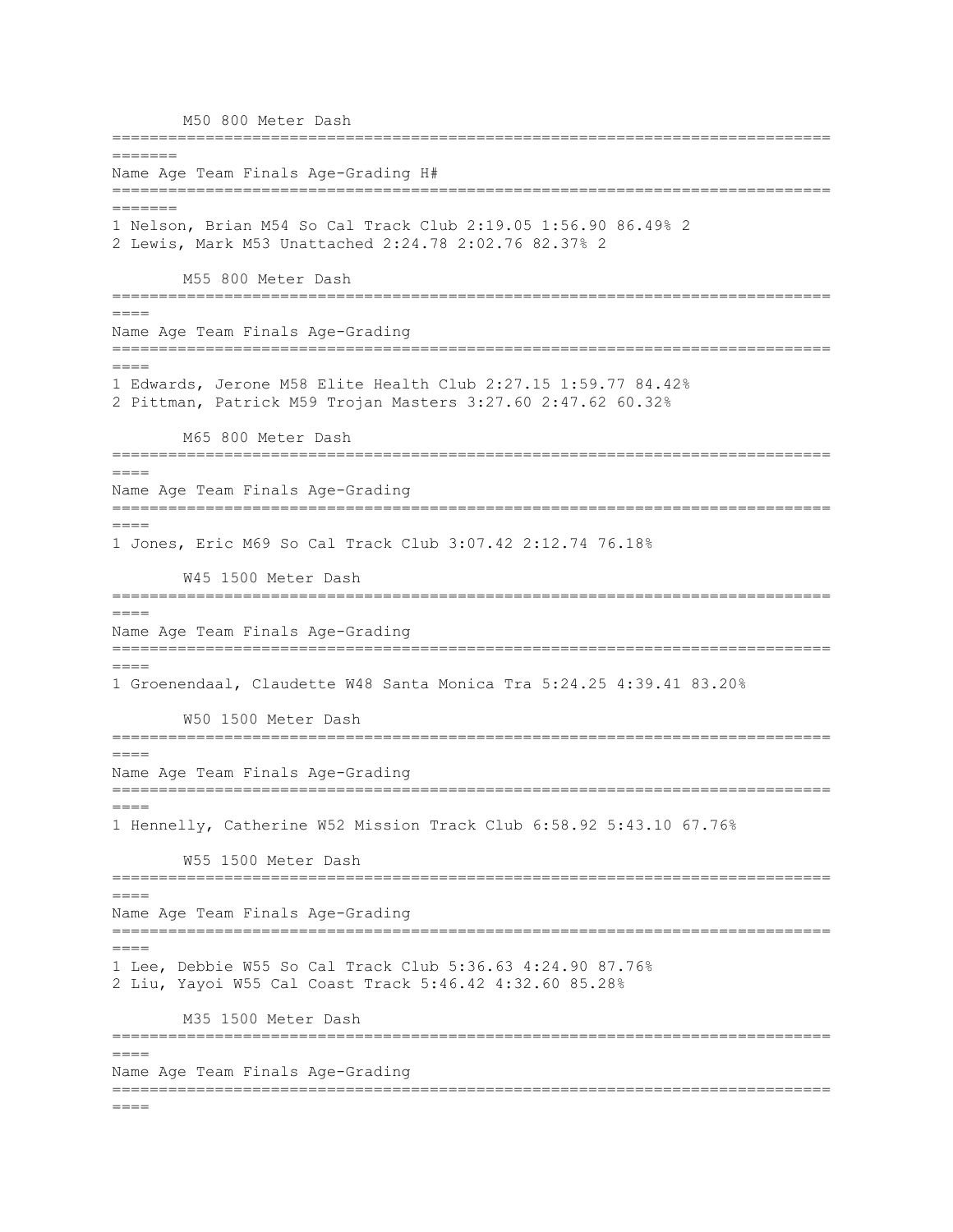M50 800 Meter Dash ============================================================================= ======= Name Age Team Finals Age-Grading H# ============================================================================= ======= 1 Nelson, Brian M54 So Cal Track Club 2:19.05 1:56.90 86.49% 2 2 Lewis, Mark M53 Unattached 2:24.78 2:02.76 82.37% 2 M55 800 Meter Dash =============================================================================  $====$ Name Age Team Finals Age-Grading =============================================================================  $=$  $=$  $=$  $=$ 1 Edwards, Jerone M58 Elite Health Club 2:27.15 1:59.77 84.42% 2 Pittman, Patrick M59 Trojan Masters 3:27.60 2:47.62 60.32% M65 800 Meter Dash ============================================================================= ==== Name Age Team Finals Age-Grading ============================================================================= ==== 1 Jones, Eric M69 So Cal Track Club 3:07.42 2:12.74 76.18% W45 1500 Meter Dash =============================================================================  $=$ Name Age Team Finals Age-Grading ============================================================================= ==== 1 Groenendaal, Claudette W48 Santa Monica Tra 5:24.25 4:39.41 83.20% W50 1500 Meter Dash ============================================================================= ==== Name Age Team Finals Age-Grading =============================================================================  $=$ 1 Hennelly, Catherine W52 Mission Track Club 6:58.92 5:43.10 67.76% W55 1500 Meter Dash ============================================================================= ==== Name Age Team Finals Age-Grading =============================================================================  $=$ 1 Lee, Debbie W55 So Cal Track Club 5:36.63 4:24.90 87.76% 2 Liu, Yayoi W55 Cal Coast Track 5:46.42 4:32.60 85.28% M35 1500 Meter Dash =============================================================================  $====$ Name Age Team Finals Age-Grading =============================================================================  $=$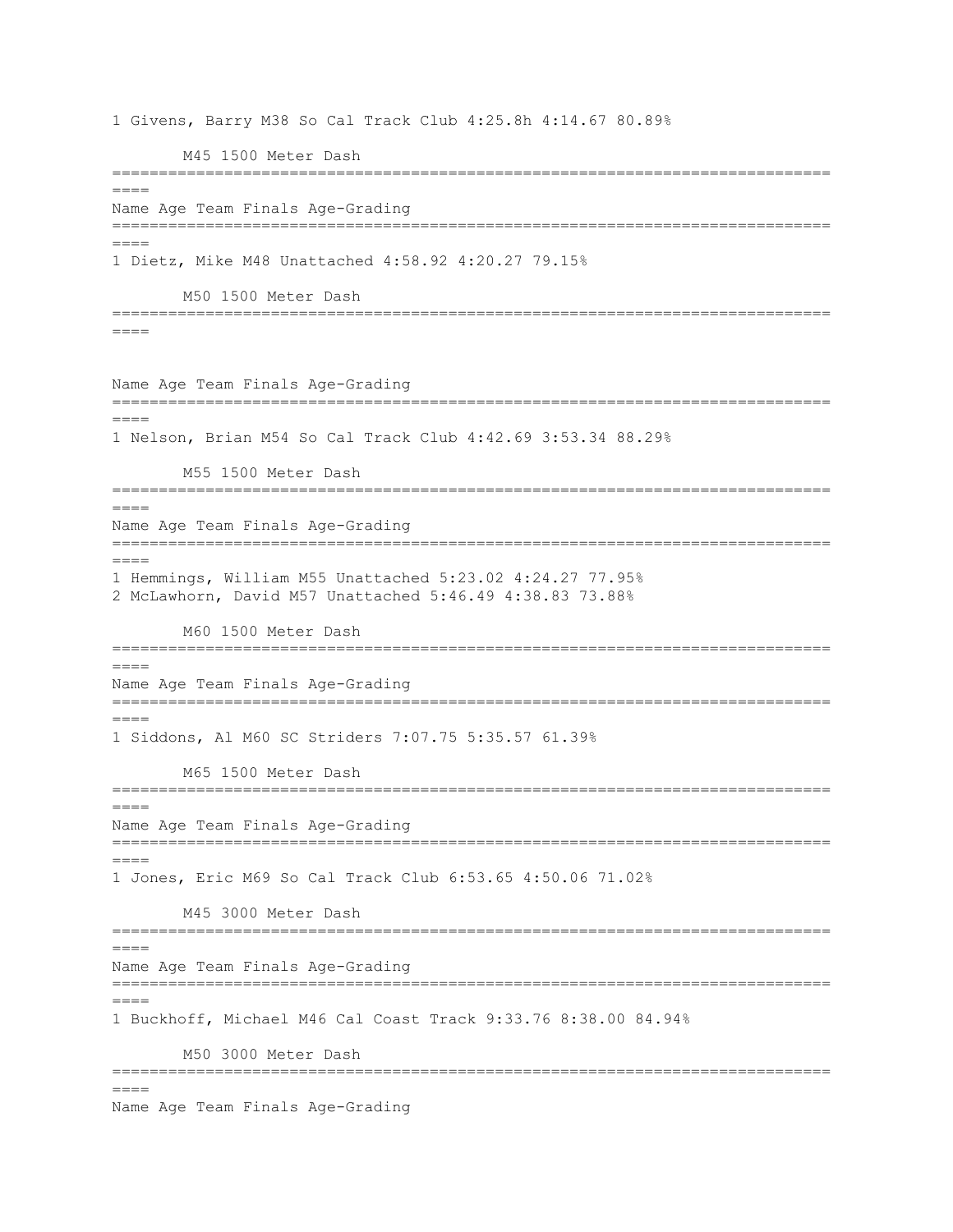1 Givens, Barry M38 So Cal Track Club 4:25.8h 4:14.67 80.89% M45 1500 Meter Dash =============================================================================  $====$ Name Age Team Finals Age-Grading =============================================================================  $=$ 1 Dietz, Mike M48 Unattached 4:58.92 4:20.27 79.15% M50 1500 Meter Dash =============================================================================  $=$  $=$  $=$  $=$ Name Age Team Finals Age-Grading ============================================================================= ==== 1 Nelson, Brian M54 So Cal Track Club 4:42.69 3:53.34 88.29% M55 1500 Meter Dash =============================================================================  $----$ Name Age Team Finals Age-Grading =============================================================================  $====$ 1 Hemmings, William M55 Unattached 5:23.02 4:24.27 77.95% 2 McLawhorn, David M57 Unattached 5:46.49 4:38.83 73.88% M60 1500 Meter Dash ============================================================================= ==== Name Age Team Finals Age-Grading =============================================================================  $=$ 1 Siddons, Al M60 SC Striders 7:07.75 5:35.57 61.39% M65 1500 Meter Dash =============================================================================  $=$ Name Age Team Finals Age-Grading =============================================================================  $=$ 1 Jones, Eric M69 So Cal Track Club 6:53.65 4:50.06 71.02% M45 3000 Meter Dash =============================================================================  $=$ Name Age Team Finals Age-Grading ============================================================================= ==== 1 Buckhoff, Michael M46 Cal Coast Track 9:33.76 8:38.00 84.94% M50 3000 Meter Dash =============================================================================  $=$ Name Age Team Finals Age-Grading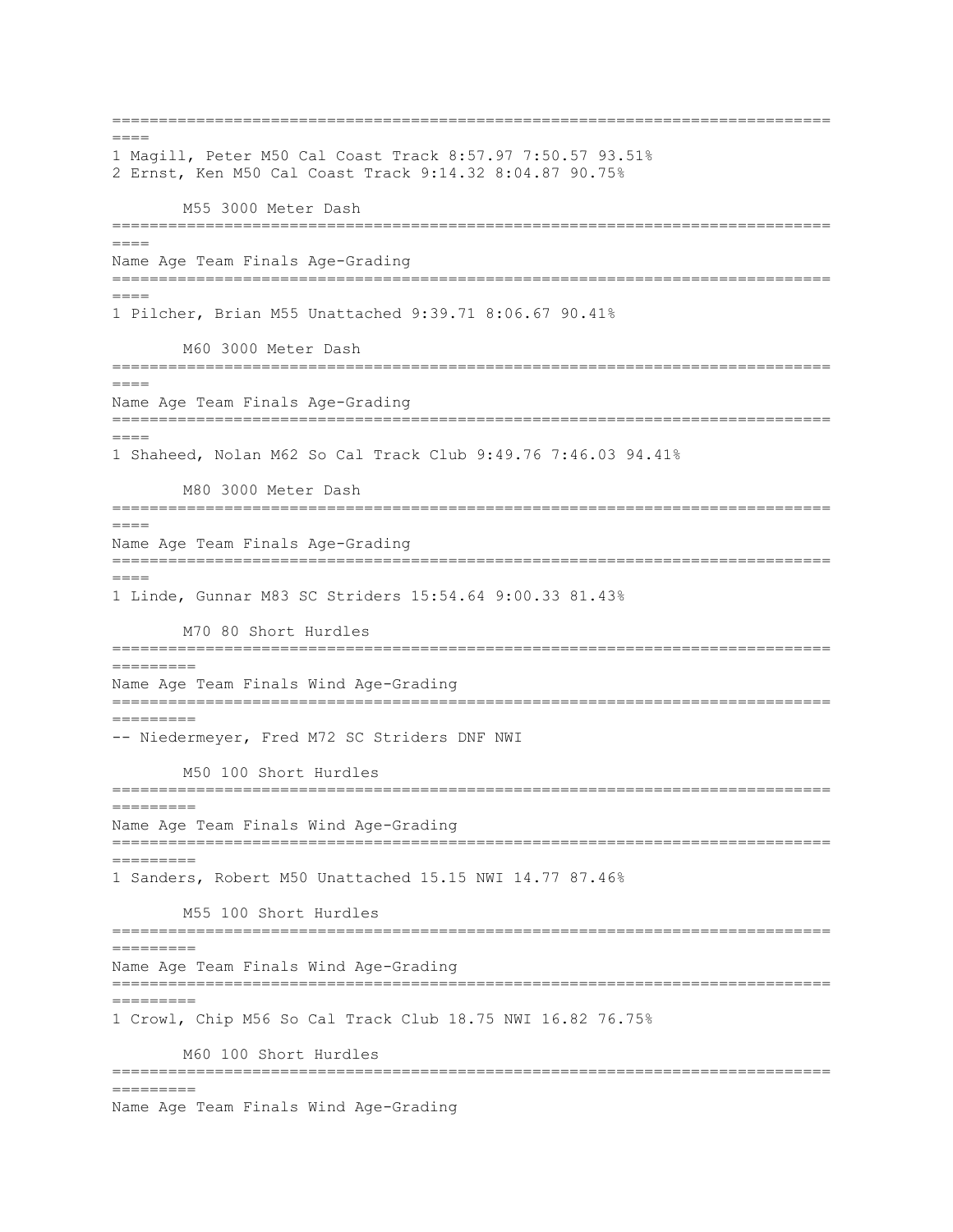=============================================================================  $----$ 1 Magill, Peter M50 Cal Coast Track 8:57.97 7:50.57 93.51% 2 Ernst, Ken M50 Cal Coast Track 9:14.32 8:04.87 90.75% M55 3000 Meter Dash =============================================================================  $=$ Name Age Team Finals Age-Grading ============================================================================= ==== 1 Pilcher, Brian M55 Unattached 9:39.71 8:06.67 90.41% M60 3000 Meter Dash ============================================================================= ==== Name Age Team Finals Age-Grading ============================================================================= ==== 1 Shaheed, Nolan M62 So Cal Track Club 9:49.76 7:46.03 94.41% M80 3000 Meter Dash ============================================================================= ==== Name Age Team Finals Age-Grading =============================================================================  $====$ 1 Linde, Gunnar M83 SC Striders 15:54.64 9:00.33 81.43% M70 80 Short Hurdles ============================================================================= ========= Name Age Team Finals Wind Age-Grading ============================================================================= ========= -- Niedermeyer, Fred M72 SC Striders DNF NWI M50 100 Short Hurdles ============================================================================= ========= Name Age Team Finals Wind Age-Grading ============================================================================= ========= 1 Sanders, Robert M50 Unattached 15.15 NWI 14.77 87.46% M55 100 Short Hurdles ============================================================================= ========= Name Age Team Finals Wind Age-Grading ============================================================================= ========= 1 Crowl, Chip M56 So Cal Track Club 18.75 NWI 16.82 76.75% M60 100 Short Hurdles ============================================================================= =========

Name Age Team Finals Wind Age-Grading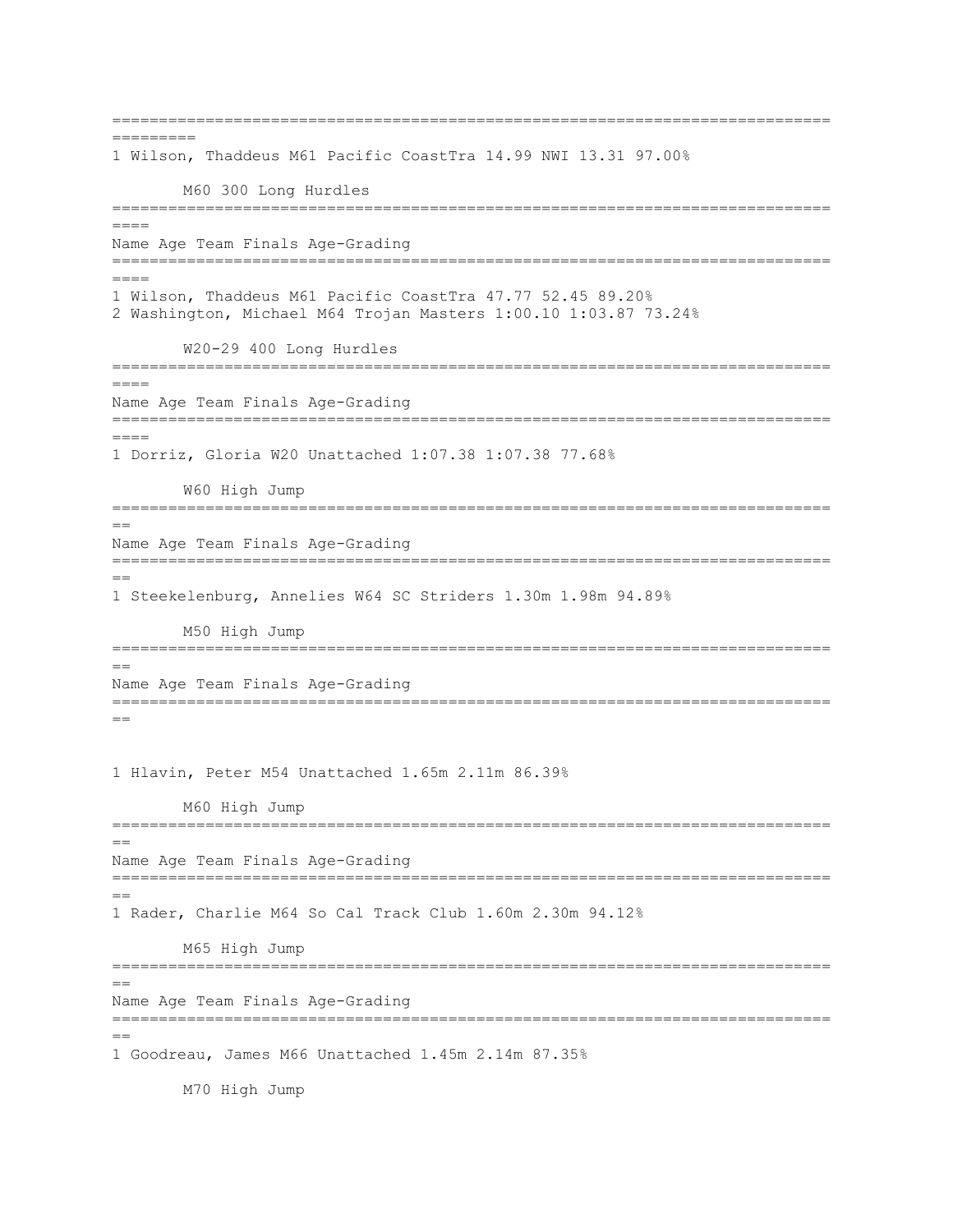============================================================================= ========= 1 Wilson, Thaddeus M61 Pacific CoastTra 14.99 NWI 13.31 97.00% M60 300 Long Hurdles ============================================================================= ==== Name Age Team Finals Age-Grading ============================================================================= ==== 1 Wilson, Thaddeus M61 Pacific CoastTra 47.77 52.45 89.20% 2 Washington, Michael M64 Trojan Masters 1:00.10 1:03.87 73.24% W20-29 400 Long Hurdles ============================================================================= ==== Name Age Team Finals Age-Grading ============================================================================= ==== 1 Dorriz, Gloria W20 Unattached 1:07.38 1:07.38 77.68% W60 High Jump ============================================================================= == Name Age Team Finals Age-Grading =============================================================================  $=$ 1 Steekelenburg, Annelies W64 SC Striders 1.30m 1.98m 94.89% M50 High Jump ============================================================================= == Name Age Team Finals Age-Grading =============================================================================  $=$ 1 Hlavin, Peter M54 Unattached 1.65m 2.11m 86.39% M60 High Jump ============================================================================= == Name Age Team Finals Age-Grading ============================================================================= == 1 Rader, Charlie M64 So Cal Track Club 1.60m 2.30m 94.12% M65 High Jump =============================================================================  $-$ Name Age Team Finals Age-Grading =============================================================================  $=$ 1 Goodreau, James M66 Unattached 1.45m 2.14m 87.35%

M70 High Jump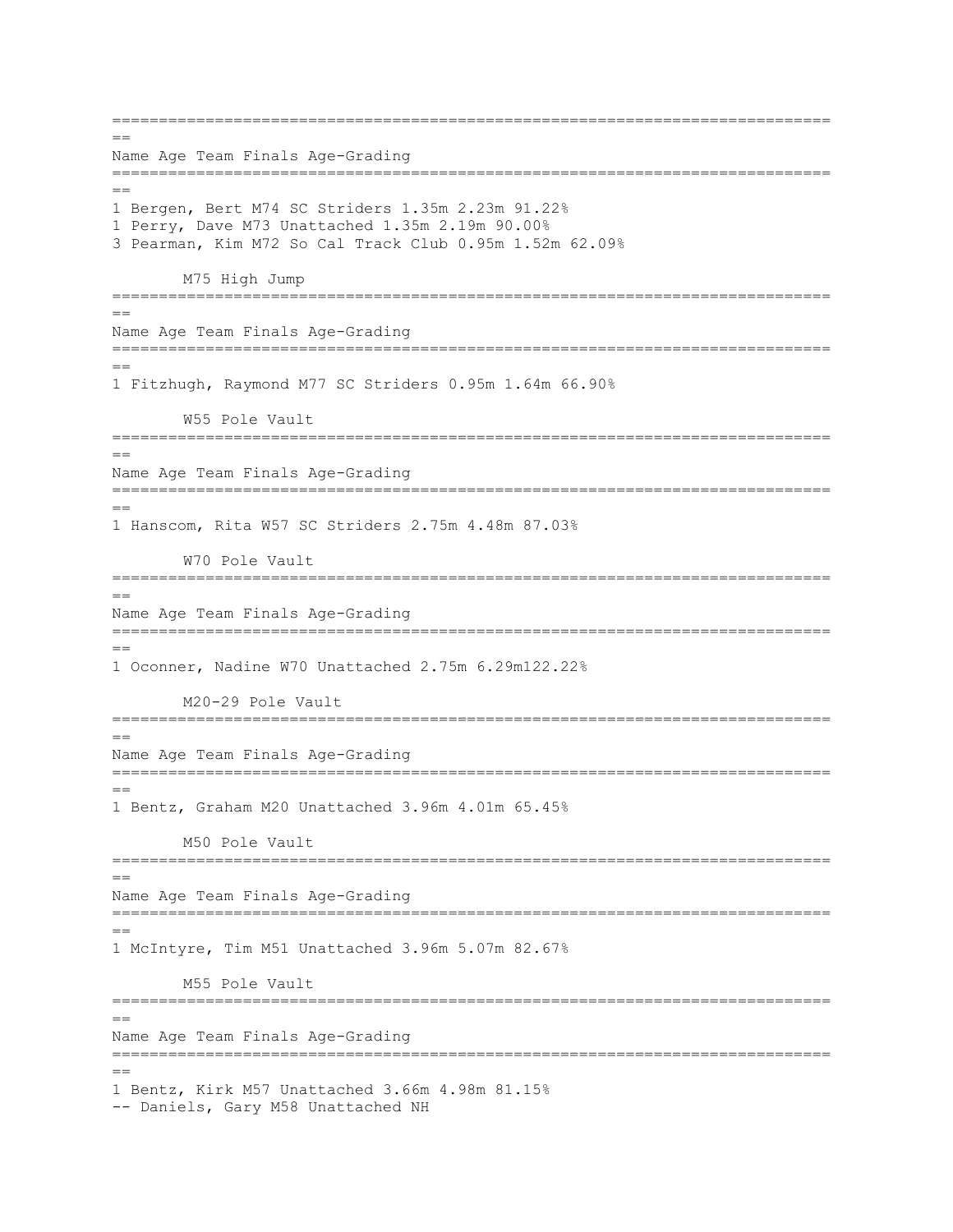=============================================================================  $=$ Name Age Team Finals Age-Grading =============================================================================  $=$ 1 Bergen, Bert M74 SC Striders 1.35m 2.23m 91.22% 1 Perry, Dave M73 Unattached 1.35m 2.19m 90.00% 3 Pearman, Kim M72 So Cal Track Club 0.95m 1.52m 62.09% M75 High Jump ============================================================================= == Name Age Team Finals Age-Grading =============================================================================  $=$ 1 Fitzhugh, Raymond M77 SC Striders 0.95m 1.64m 66.90% W55 Pole Vault =============================================================================  $=$ Name Age Team Finals Age-Grading =============================================================================  $-$ 1 Hanscom, Rita W57 SC Striders 2.75m 4.48m 87.03% W70 Pole Vault ============================================================================= == Name Age Team Finals Age-Grading ============================================================================= == 1 Oconner, Nadine W70 Unattached 2.75m 6.29m122.22% M20-29 Pole Vault =============================================================================  $=$ Name Age Team Finals Age-Grading ============================================================================= == 1 Bentz, Graham M20 Unattached 3.96m 4.01m 65.45% M50 Pole Vault ============================================================================= == Name Age Team Finals Age-Grading =============================================================================  $=$ 1 McIntyre, Tim M51 Unattached 3.96m 5.07m 82.67% M55 Pole Vault ============================================================================= == Name Age Team Finals Age-Grading ============================================================================= == 1 Bentz, Kirk M57 Unattached 3.66m 4.98m 81.15% -- Daniels, Gary M58 Unattached NH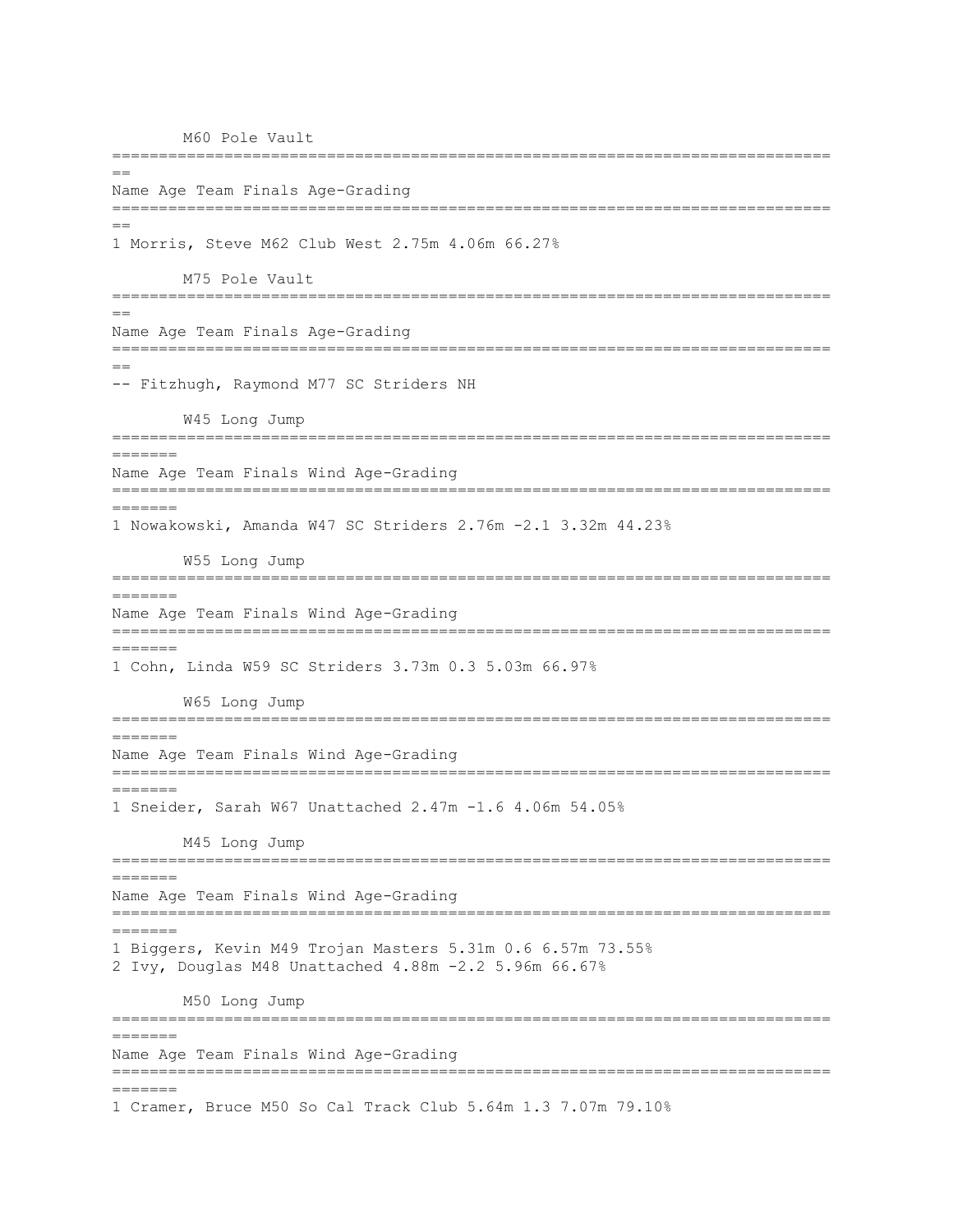M60 Pole Vault ============================================================================= == Name Age Team Finals Age-Grading ============================================================================= == 1 Morris, Steve M62 Club West 2.75m 4.06m 66.27% M75 Pole Vault ============================================================================= == Name Age Team Finals Age-Grading =============================================================================  $=$ -- Fitzhugh, Raymond M77 SC Striders NH W45 Long Jump =============================================================================  $=$ Name Age Team Finals Wind Age-Grading =============================================================================  $=$ 1 Nowakowski, Amanda W47 SC Striders 2.76m -2.1 3.32m 44.23% W55 Long Jump ============================================================================= ======= Name Age Team Finals Wind Age-Grading ============================================================================= ======= 1 Cohn, Linda W59 SC Striders 3.73m 0.3 5.03m 66.97% W65 Long Jump ============================================================================= ======= Name Age Team Finals Wind Age-Grading ============================================================================= ======= 1 Sneider, Sarah W67 Unattached 2.47m -1.6 4.06m 54.05% M45 Long Jump ============================================================================= ======= Name Age Team Finals Wind Age-Grading ============================================================================= ======= 1 Biggers, Kevin M49 Trojan Masters 5.31m 0.6 6.57m 73.55% 2 Ivy, Douglas M48 Unattached 4.88m -2.2 5.96m 66.67% M50 Long Jump ============================================================================= ======= Name Age Team Finals Wind Age-Grading ============================================================================= ======= 1 Cramer, Bruce M50 So Cal Track Club 5.64m 1.3 7.07m 79.10%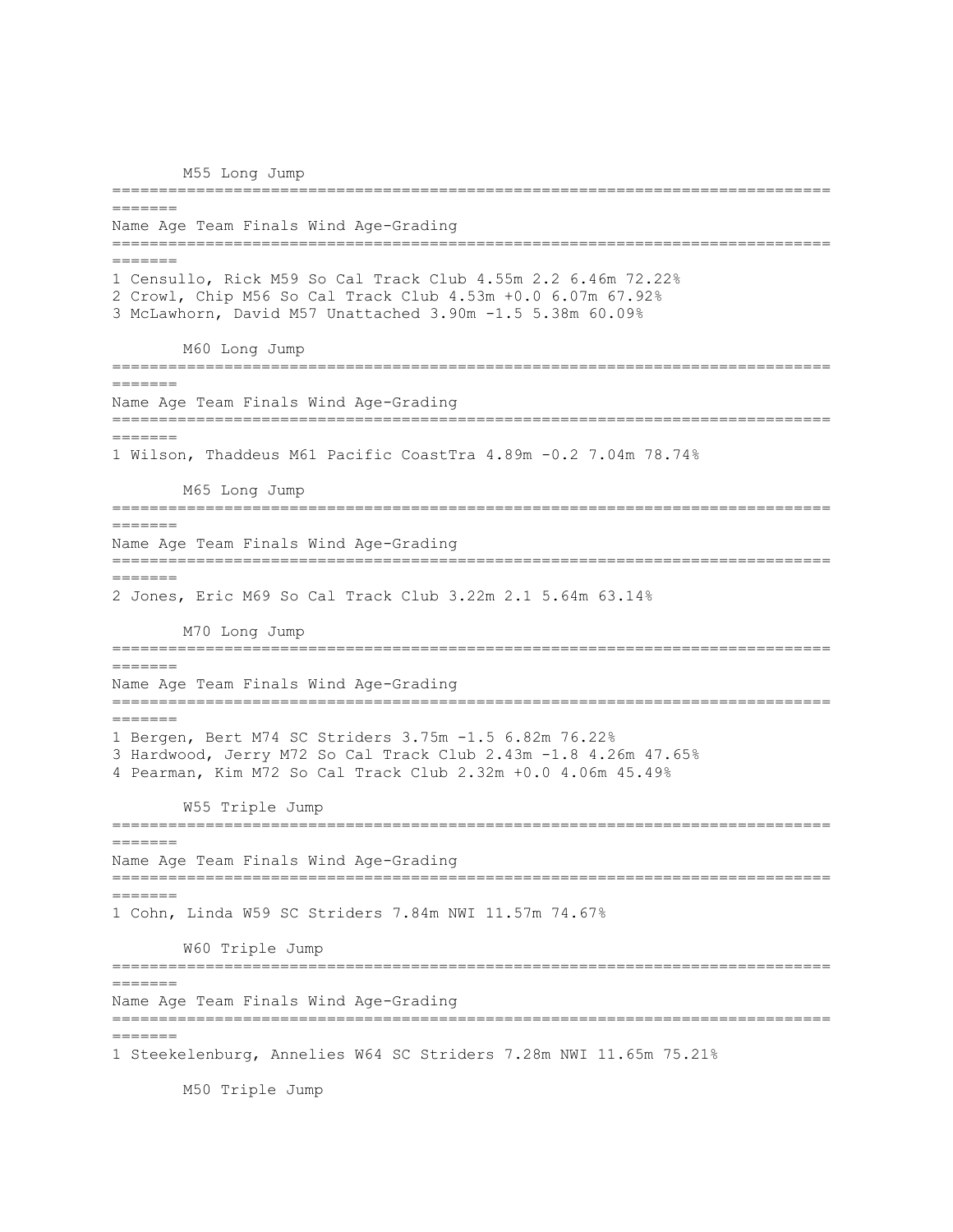M55 Long Jump =============================================================================  $=$  $=$  $=$  $=$  $=$  $=$  $=$ Name Age Team Finals Wind Age-Grading ============================================================================= ======= 1 Censullo, Rick M59 So Cal Track Club 4.55m 2.2 6.46m 72.22% 2 Crowl, Chip M56 So Cal Track Club 4.53m +0.0 6.07m 67.92% 3 McLawhorn, David M57 Unattached 3.90m -1.5 5.38m 60.09% M60 Long Jump ============================================================================= ======= Name Age Team Finals Wind Age-Grading ============================================================================= ======= 1 Wilson, Thaddeus M61 Pacific CoastTra 4.89m -0.2 7.04m 78.74% M65 Long Jump ============================================================================= ======= Name Age Team Finals Wind Age-Grading ============================================================================= ======= 2 Jones, Eric M69 So Cal Track Club 3.22m 2.1 5.64m 63.14% M70 Long Jump ============================================================================= ======= Name Age Team Finals Wind Age-Grading ============================================================================= ======= 1 Bergen, Bert M74 SC Striders 3.75m -1.5 6.82m 76.22% 3 Hardwood, Jerry M72 So Cal Track Club 2.43m -1.8 4.26m 47.65% 4 Pearman, Kim M72 So Cal Track Club 2.32m +0.0 4.06m 45.49% W55 Triple Jump ============================================================================= ======= Name Age Team Finals Wind Age-Grading ============================================================================= ======= 1 Cohn, Linda W59 SC Striders 7.84m NWI 11.57m 74.67% W60 Triple Jump ============================================================================= ======= Name Age Team Finals Wind Age-Grading ============================================================================= ======= 1 Steekelenburg, Annelies W64 SC Striders 7.28m NWI 11.65m 75.21%

M50 Triple Jump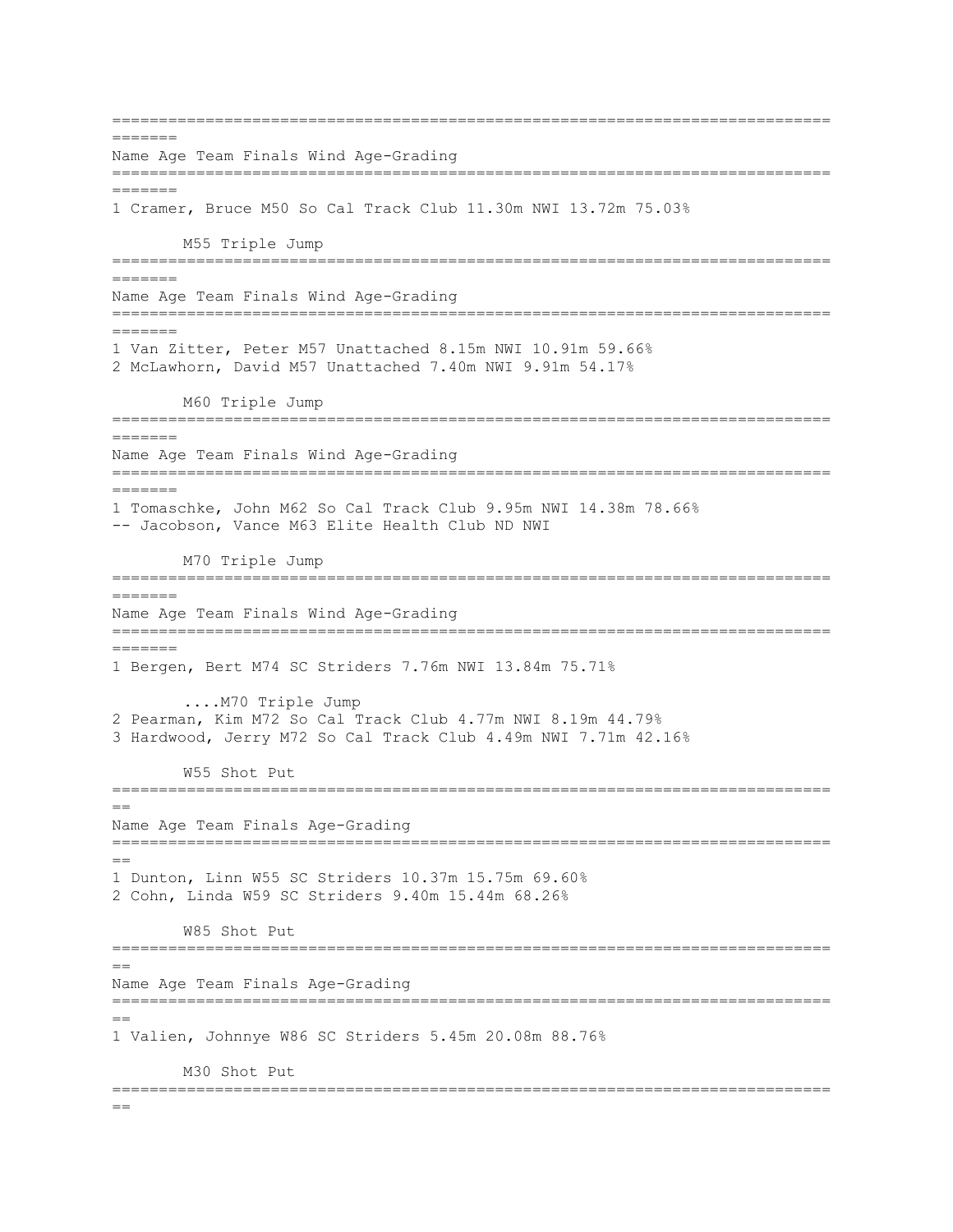=============================================================================  $=$ Name Age Team Finals Wind Age-Grading ============================================================================= ======= 1 Cramer, Bruce M50 So Cal Track Club 11.30m NWI 13.72m 75.03% M55 Triple Jump ============================================================================= ======= Name Age Team Finals Wind Age-Grading =============================================================================  $=$ 1 Van Zitter, Peter M57 Unattached 8.15m NWI 10.91m 59.66% 2 McLawhorn, David M57 Unattached 7.40m NWI 9.91m 54.17% M60 Triple Jump ============================================================================= ======= Name Age Team Finals Wind Age-Grading ============================================================================= ======= 1 Tomaschke, John M62 So Cal Track Club 9.95m NWI 14.38m 78.66% -- Jacobson, Vance M63 Elite Health Club ND NWI M70 Triple Jump ============================================================================= ======= Name Age Team Finals Wind Age-Grading ============================================================================= ======= 1 Bergen, Bert M74 SC Striders 7.76m NWI 13.84m 75.71% ....M70 Triple Jump 2 Pearman, Kim M72 So Cal Track Club 4.77m NWI 8.19m 44.79% 3 Hardwood, Jerry M72 So Cal Track Club 4.49m NWI 7.71m 42.16% W55 Shot Put =============================================================================  $=$ Name Age Team Finals Age-Grading =============================================================================  $=$ 1 Dunton, Linn W55 SC Striders 10.37m 15.75m 69.60% 2 Cohn, Linda W59 SC Striders 9.40m 15.44m 68.26% W85 Shot Put ============================================================================= == Name Age Team Finals Age-Grading ============================================================================= == 1 Valien, Johnnye W86 SC Striders 5.45m 20.08m 88.76% M30 Shot Put =============================================================================  $=$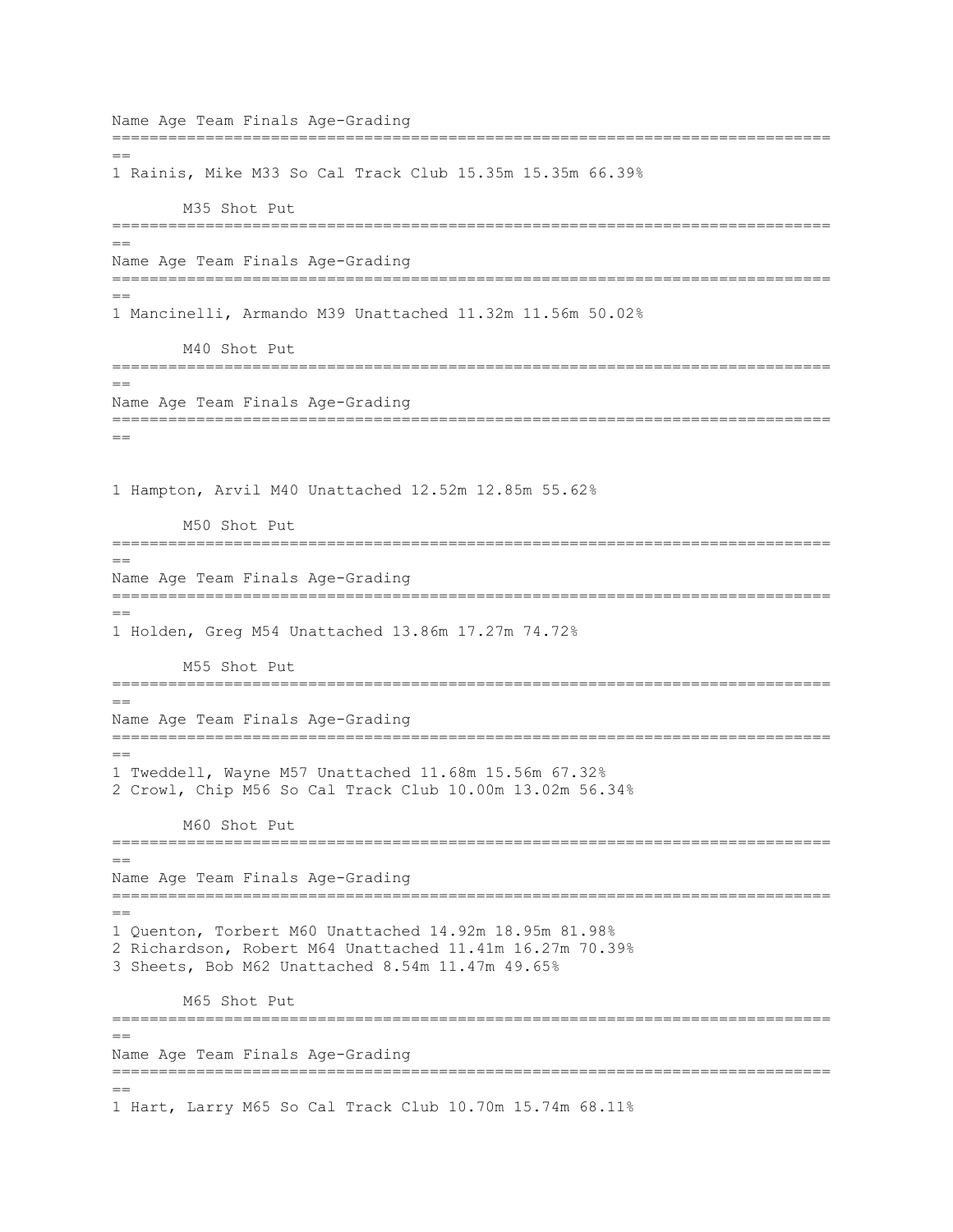Name Age Team Finals Age-Grading =============================================================================  $-$ 1 Rainis, Mike M33 So Cal Track Club 15.35m 15.35m 66.39% M35 Shot Put =============================================================================  $=$ Name Age Team Finals Age-Grading ============================================================================= == 1 Mancinelli, Armando M39 Unattached 11.32m 11.56m 50.02% M40 Shot Put =============================================================================  $=$ Name Age Team Finals Age-Grading =============================================================================  $=$ 1 Hampton, Arvil M40 Unattached 12.52m 12.85m 55.62% M50 Shot Put =============================================================================  $=$ Name Age Team Finals Age-Grading =============================================================================  $=$ 1 Holden, Greg M54 Unattached 13.86m 17.27m 74.72% M55 Shot Put =============================================================================  $=$ Name Age Team Finals Age-Grading ============================================================================= == 1 Tweddell, Wayne M57 Unattached 11.68m 15.56m 67.32% 2 Crowl, Chip M56 So Cal Track Club 10.00m 13.02m 56.34% M60 Shot Put =============================================================================  $=$ Name Age Team Finals Age-Grading =============================================================================  $=$ 1 Quenton, Torbert M60 Unattached 14.92m 18.95m 81.98% 2 Richardson, Robert M64 Unattached 11.41m 16.27m 70.39% 3 Sheets, Bob M62 Unattached 8.54m 11.47m 49.65% M65 Shot Put =============================================================================  $=$ Name Age Team Finals Age-Grading =============================================================================  $=$ 1 Hart, Larry M65 So Cal Track Club 10.70m 15.74m 68.11%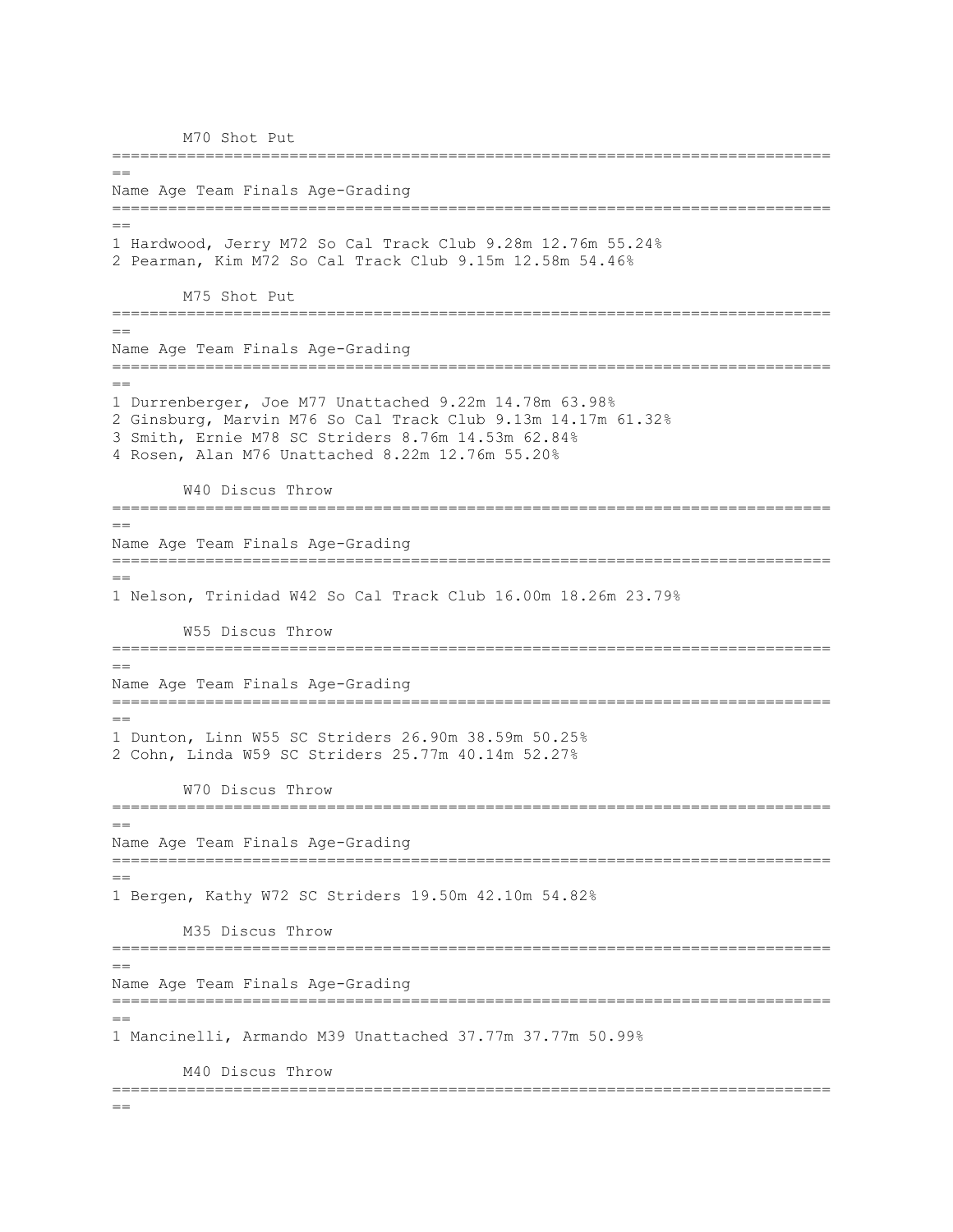M70 Shot Put

============================================================================= == Name Age Team Finals Age-Grading =============================================================================  $=$ 1 Hardwood, Jerry M72 So Cal Track Club 9.28m 12.76m 55.24% 2 Pearman, Kim M72 So Cal Track Club 9.15m 12.58m 54.46% M75 Shot Put =============================================================================  $=$ Name Age Team Finals Age-Grading =============================================================================  $=$ 1 Durrenberger, Joe M77 Unattached 9.22m 14.78m 63.98% 2 Ginsburg, Marvin M76 So Cal Track Club 9.13m 14.17m 61.32% 3 Smith, Ernie M78 SC Striders 8.76m 14.53m 62.84% 4 Rosen, Alan M76 Unattached 8.22m 12.76m 55.20% W40 Discus Throw ============================================================================= == Name Age Team Finals Age-Grading =============================================================================  $=$ 1 Nelson, Trinidad W42 So Cal Track Club 16.00m 18.26m 23.79% W55 Discus Throw ============================================================================= == Name Age Team Finals Age-Grading =============================================================================  $=$ 1 Dunton, Linn W55 SC Striders 26.90m 38.59m 50.25% 2 Cohn, Linda W59 SC Striders 25.77m 40.14m 52.27% W70 Discus Throw =============================================================================  $=$ Name Age Team Finals Age-Grading ============================================================================= == 1 Bergen, Kathy W72 SC Striders 19.50m 42.10m 54.82% M35 Discus Throw ============================================================================= == Name Age Team Finals Age-Grading ============================================================================= == 1 Mancinelli, Armando M39 Unattached 37.77m 37.77m 50.99% M40 Discus Throw =============================================================================  $=$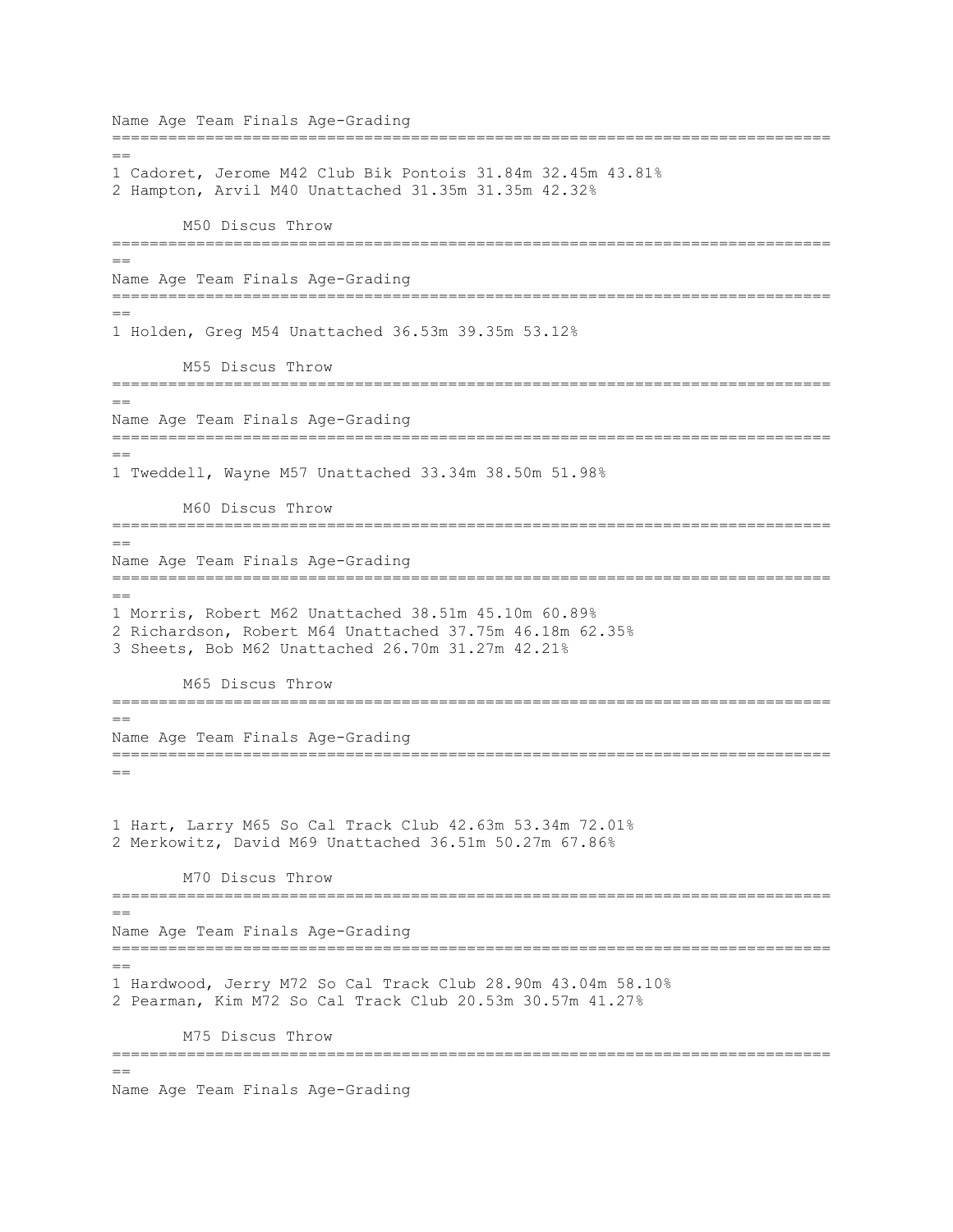Name Age Team Finals Age-Grading =============================================================================  $-$ 1 Cadoret, Jerome M42 Club Bik Pontois 31.84m 32.45m 43.81% 2 Hampton, Arvil M40 Unattached 31.35m 31.35m 42.32% M50 Discus Throw ============================================================================= == Name Age Team Finals Age-Grading ============================================================================= == 1 Holden, Greg M54 Unattached 36.53m 39.35m 53.12% M55 Discus Throw ============================================================================= == Name Age Team Finals Age-Grading =============================================================================  $=$ 1 Tweddell, Wayne M57 Unattached 33.34m 38.50m 51.98% M60 Discus Throw ============================================================================= == Name Age Team Finals Age-Grading ============================================================================= == 1 Morris, Robert M62 Unattached 38.51m 45.10m 60.89% 2 Richardson, Robert M64 Unattached 37.75m 46.18m 62.35% 3 Sheets, Bob M62 Unattached 26.70m 31.27m 42.21% M65 Discus Throw =============================================================================  $=$ Name Age Team Finals Age-Grading ============================================================================= == 1 Hart, Larry M65 So Cal Track Club 42.63m 53.34m 72.01% 2 Merkowitz, David M69 Unattached 36.51m 50.27m 67.86% M70 Discus Throw =============================================================================  $=$ Name Age Team Finals Age-Grading ============================================================================= == 1 Hardwood, Jerry M72 So Cal Track Club 28.90m 43.04m 58.10% 2 Pearman, Kim M72 So Cal Track Club 20.53m 30.57m 41.27% M75 Discus Throw ============================================================================= ==

Name Age Team Finals Age-Grading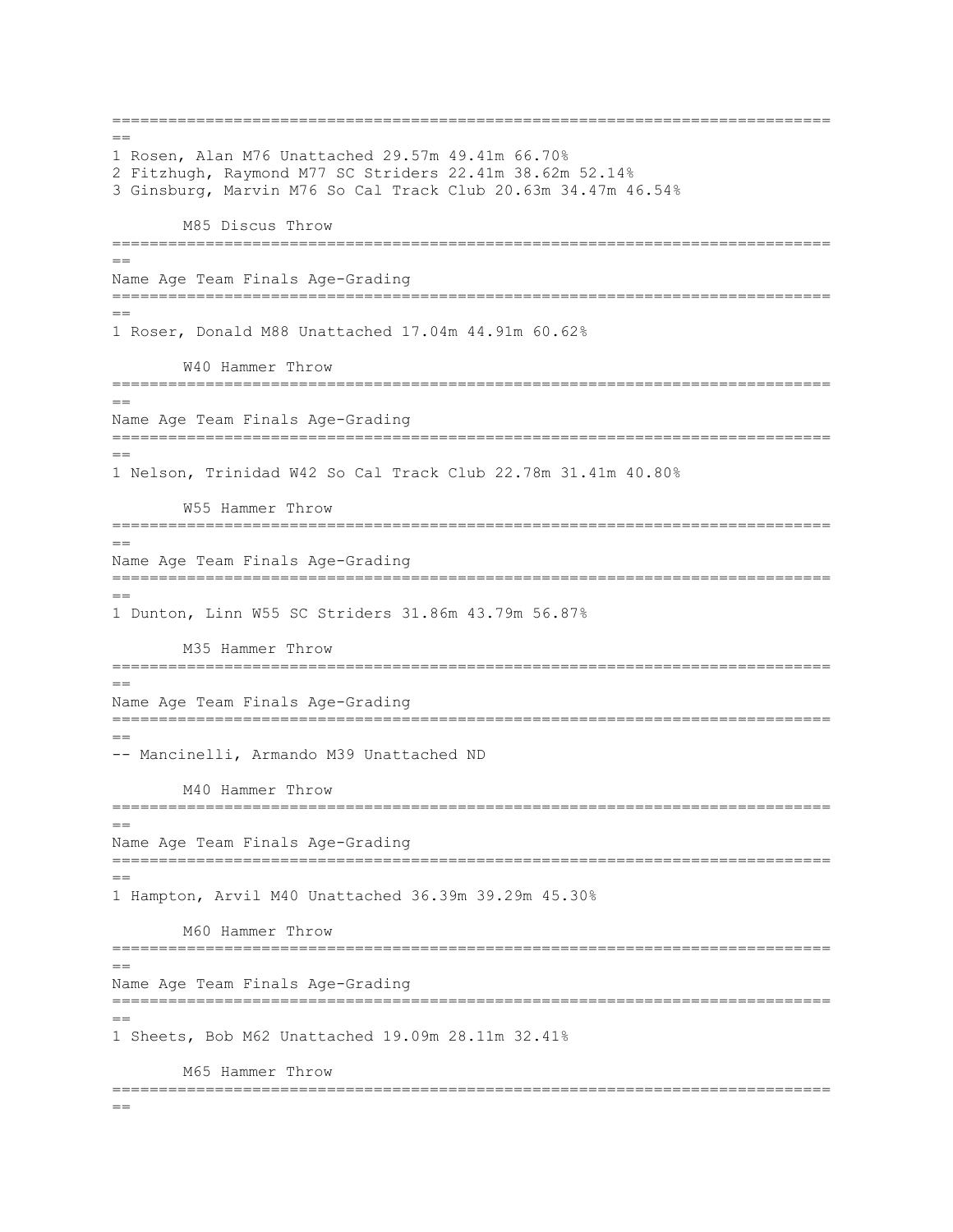=============================================================================  $=$ 1 Rosen, Alan M76 Unattached 29.57m 49.41m 66.70% 2 Fitzhugh, Raymond M77 SC Striders 22.41m 38.62m 52.14% 3 Ginsburg, Marvin M76 So Cal Track Club 20.63m 34.47m 46.54% M85 Discus Throw =============================================================================  $=$ Name Age Team Finals Age-Grading ============================================================================= == 1 Roser, Donald M88 Unattached 17.04m 44.91m 60.62% W40 Hammer Throw ============================================================================= == Name Age Team Finals Age-Grading =============================================================================  $=$ 1 Nelson, Trinidad W42 So Cal Track Club 22.78m 31.41m 40.80% W55 Hammer Throw ============================================================================= == Name Age Team Finals Age-Grading ============================================================================= == 1 Dunton, Linn W55 SC Striders 31.86m 43.79m 56.87% M35 Hammer Throw =============================================================================  $-$ Name Age Team Finals Age-Grading =============================================================================  $=$ -- Mancinelli, Armando M39 Unattached ND M40 Hammer Throw =============================================================================  $=$ Name Age Team Finals Age-Grading ============================================================================= == 1 Hampton, Arvil M40 Unattached 36.39m 39.29m 45.30% M60 Hammer Throw ============================================================================= == Name Age Team Finals Age-Grading ============================================================================= == 1 Sheets, Bob M62 Unattached 19.09m 28.11m 32.41% M65 Hammer Throw =============================================================================  $=$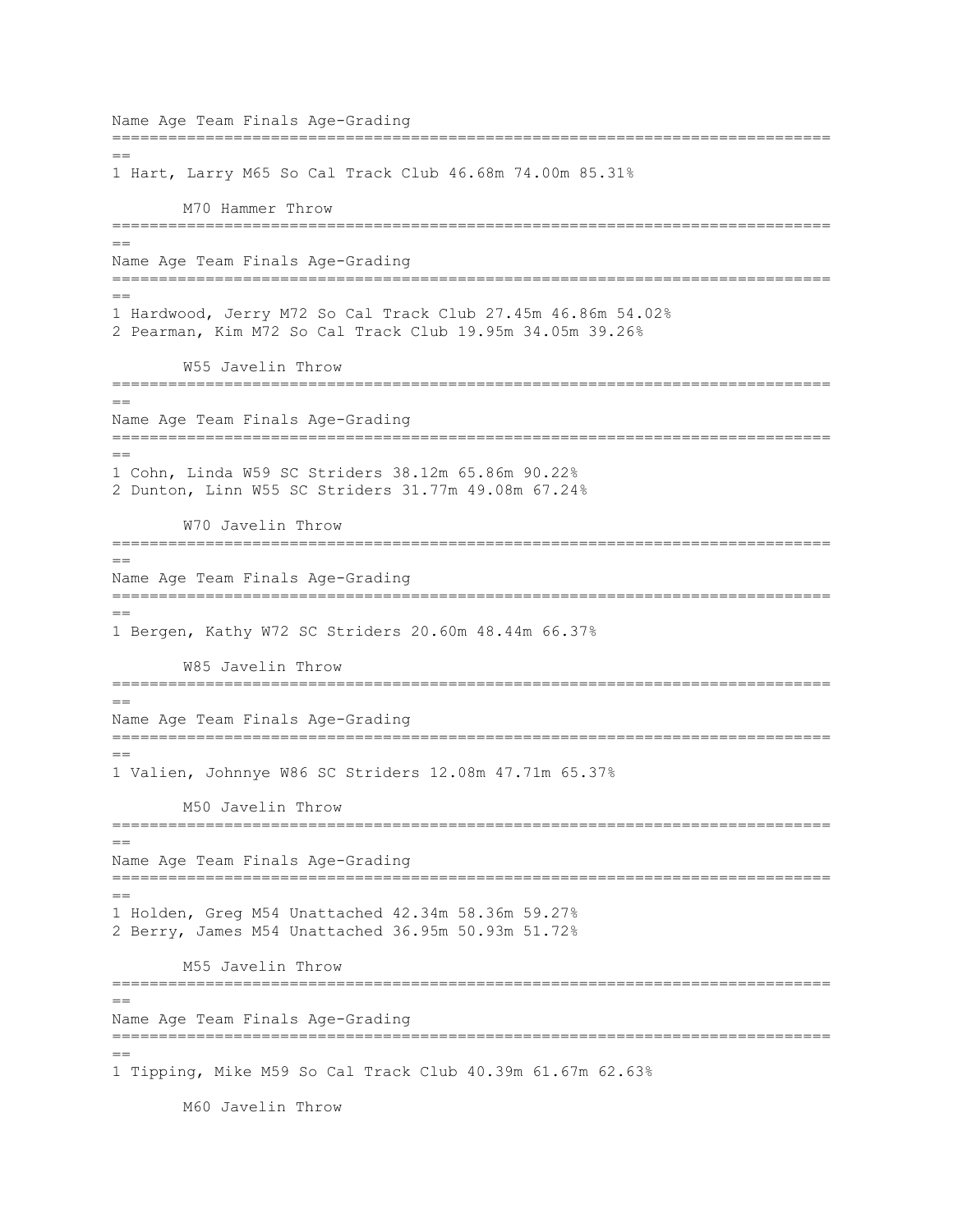Name Age Team Finals Age-Grading =============================================================================  $-$ 1 Hart, Larry M65 So Cal Track Club 46.68m 74.00m 85.31% M70 Hammer Throw =============================================================================  $=$ Name Age Team Finals Age-Grading ============================================================================= == 1 Hardwood, Jerry M72 So Cal Track Club 27.45m 46.86m 54.02% 2 Pearman, Kim M72 So Cal Track Club 19.95m 34.05m 39.26% W55 Javelin Throw ============================================================================= == Name Age Team Finals Age-Grading =============================================================================  $=$ 1 Cohn, Linda W59 SC Striders 38.12m 65.86m 90.22% 2 Dunton, Linn W55 SC Striders 31.77m 49.08m 67.24% W70 Javelin Throw =============================================================================  $=$ Name Age Team Finals Age-Grading =============================================================================  $=$ 1 Bergen, Kathy W72 SC Striders 20.60m 48.44m 66.37% W85 Javelin Throw =============================================================================  $=$ Name Age Team Finals Age-Grading ============================================================================= == 1 Valien, Johnnye W86 SC Striders 12.08m 47.71m 65.37% M50 Javelin Throw ============================================================================= == Name Age Team Finals Age-Grading ============================================================================= == 1 Holden, Greg M54 Unattached 42.34m 58.36m 59.27% 2 Berry, James M54 Unattached 36.95m 50.93m 51.72% M55 Javelin Throw ============================================================================= == Name Age Team Finals Age-Grading =============================================================================  $=$ 1 Tipping, Mike M59 So Cal Track Club 40.39m 61.67m 62.63% M60 Javelin Throw